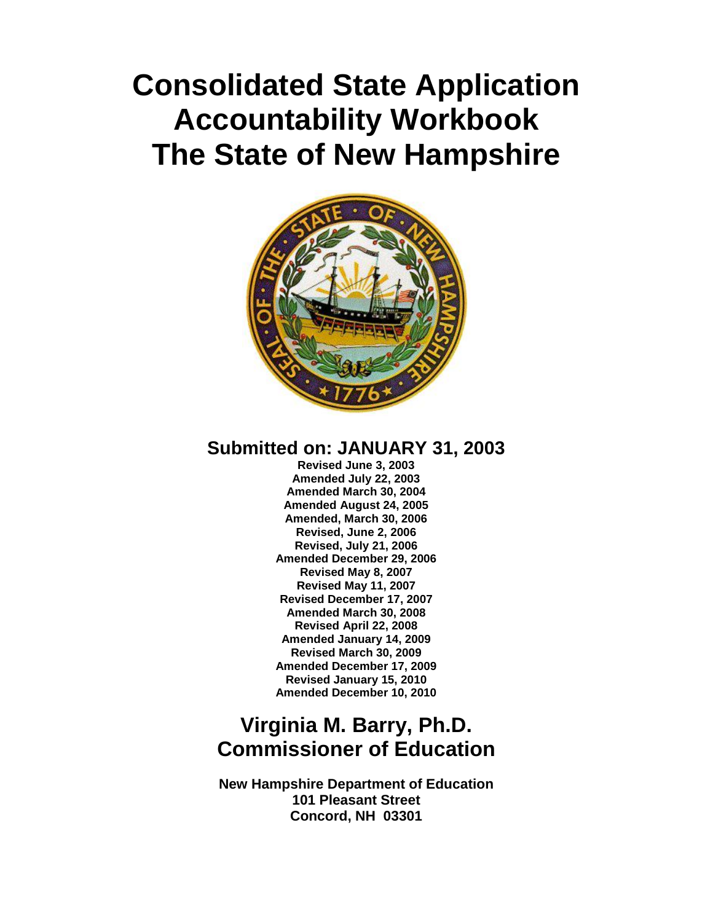# **Consolidated State Application Accountability Workbook The State of New Hampshire**



## **Submitted on: JANUARY 31, 2003**

**Revised June 3, 2003 Amended July 22, 2003 Amended March 30, 2004 Amended August 24, 2005 Amended, March 30, 2006 Revised, June 2, 2006 Revised, July 21, 2006 Amended December 29, 2006 Revised May 8, 2007 Revised May 11, 2007 Revised December 17, 2007 Amended March 30, 2008 Revised April 22, 2008 Amended January 14, 2009 Revised March 30, 2009 Amended December 17, 2009 Revised January 15, 2010 Amended December 10, 2010**

## **Virginia M. Barry, Ph.D. Commissioner of Education**

**New Hampshire Department of Education 101 Pleasant Street Concord, NH 03301**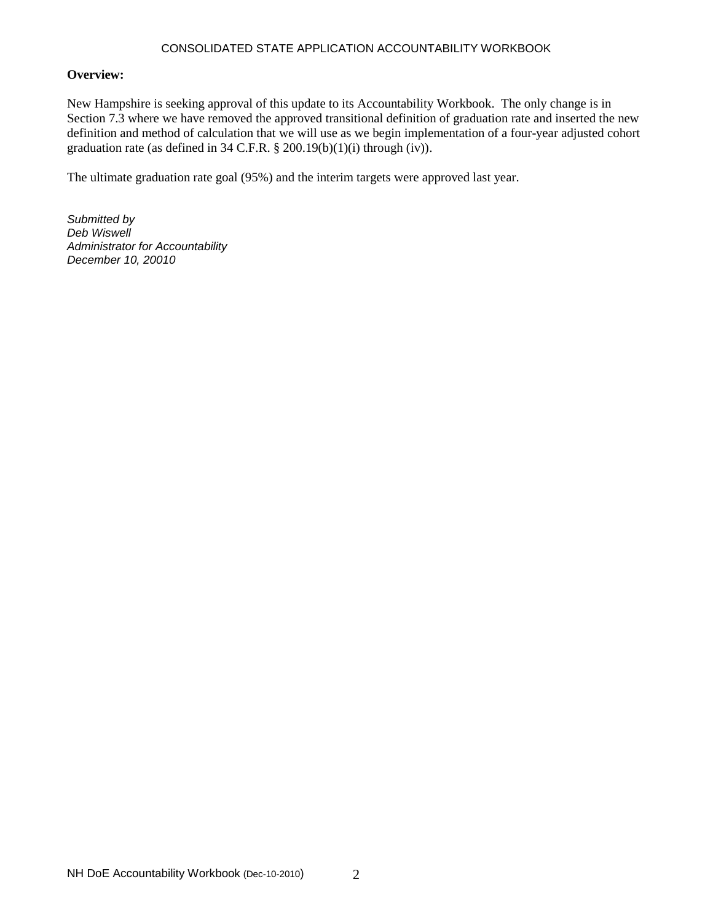#### CONSOLIDATED STATE APPLICATION ACCOUNTABILITY WORKBOOK

#### **Overview:**

New Hampshire is seeking approval of this update to its Accountability Workbook. The only change is in Section 7.3 where we have removed the approved transitional definition of graduation rate and inserted the new definition and method of calculation that we will use as we begin implementation of a four-year adjusted cohort graduation rate (as defined in 34 C.F.R.  $\S 200.19(b)(1)(i)$  through  $(iv)$ ).

The ultimate graduation rate goal (95%) and the interim targets were approved last year.

*Submitted by Deb Wiswell Administrator for Accountability December 10, 20010*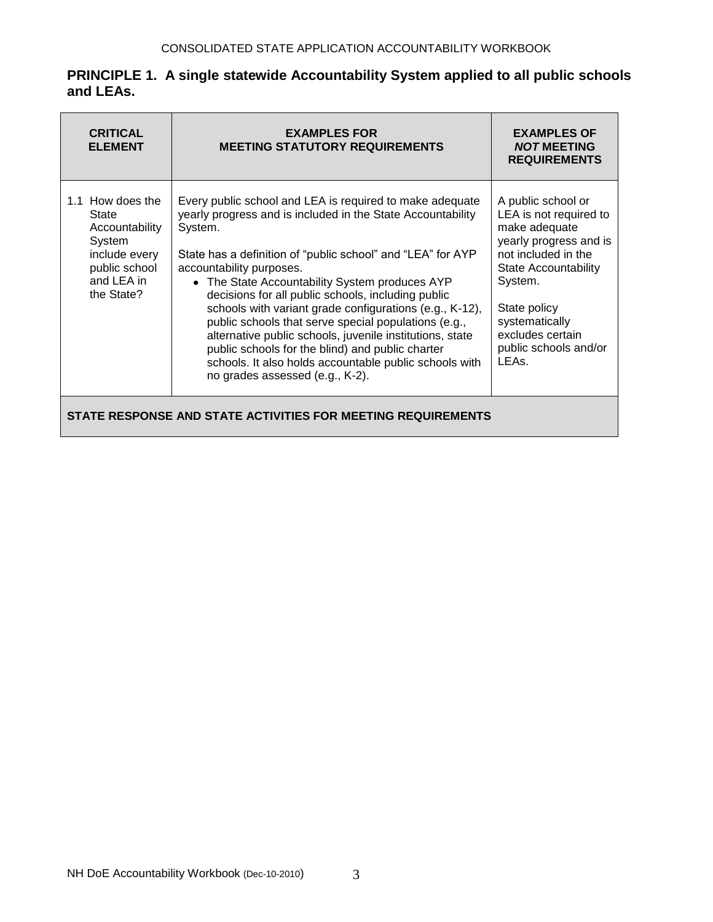| <b>CRITICAL</b><br><b>ELEMENT</b>                                                                                   | <b>EXAMPLES FOR</b><br><b>MEETING STATUTORY REQUIREMENTS</b>                                                                                                                                                                                                                                                                                                                                                                                                                                                                                                                                                                                                          | <b>EXAMPLES OF</b><br><b>NOT MEETING</b><br><b>REQUIREMENTS</b>                                                                                                                                                                                  |  |
|---------------------------------------------------------------------------------------------------------------------|-----------------------------------------------------------------------------------------------------------------------------------------------------------------------------------------------------------------------------------------------------------------------------------------------------------------------------------------------------------------------------------------------------------------------------------------------------------------------------------------------------------------------------------------------------------------------------------------------------------------------------------------------------------------------|--------------------------------------------------------------------------------------------------------------------------------------------------------------------------------------------------------------------------------------------------|--|
| 1.1 How does the<br>State<br>Accountability<br>System<br>include every<br>public school<br>and LEA in<br>the State? | Every public school and LEA is required to make adequate<br>yearly progress and is included in the State Accountability<br>System.<br>State has a definition of "public school" and "LEA" for AYP<br>accountability purposes.<br>• The State Accountability System produces AYP<br>decisions for all public schools, including public<br>schools with variant grade configurations (e.g., K-12),<br>public schools that serve special populations (e.g.,<br>alternative public schools, juvenile institutions, state<br>public schools for the blind) and public charter<br>schools. It also holds accountable public schools with<br>no grades assessed (e.g., K-2). | A public school or<br>LEA is not required to<br>make adequate<br>yearly progress and is<br>not included in the<br><b>State Accountability</b><br>System.<br>State policy<br>systematically<br>excludes certain<br>public schools and/or<br>LEAs. |  |
| STATE RESPONSE AND STATE ACTIVITIES FOR MEETING REQUIREMENTS                                                        |                                                                                                                                                                                                                                                                                                                                                                                                                                                                                                                                                                                                                                                                       |                                                                                                                                                                                                                                                  |  |

## **PRINCIPLE 1. A single statewide Accountability System applied to all public schools and LEAs.**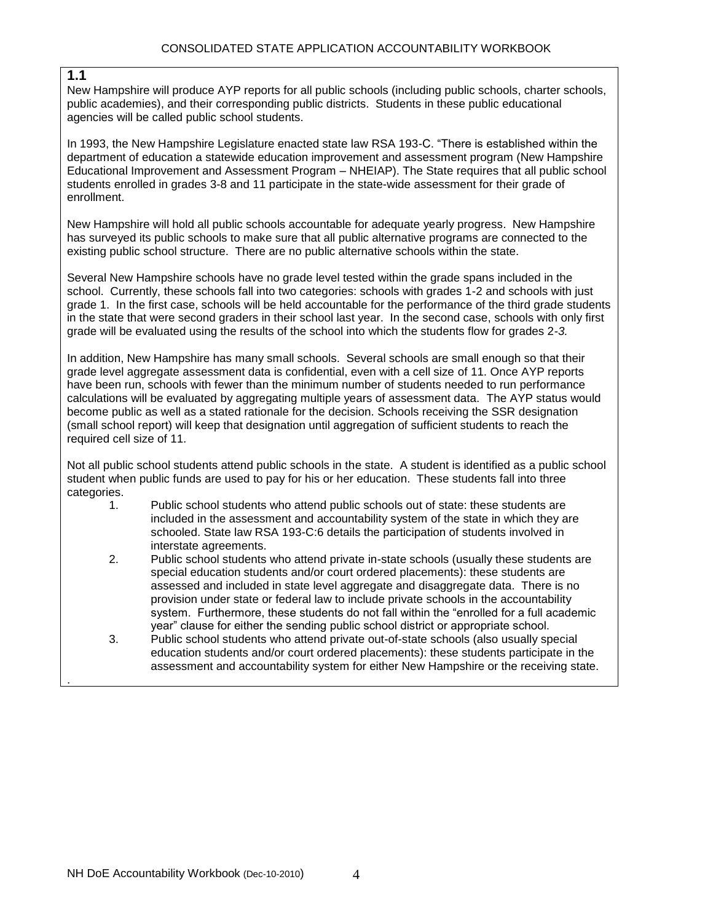#### **1.1**

.

New Hampshire will produce AYP reports for all public schools (including public schools, charter schools, public academies), and their corresponding public districts. Students in these public educational agencies will be called public school students.

In 1993, the New Hampshire Legislature enacted state law RSA 193-C. "There is established within the department of education a statewide education improvement and assessment program (New Hampshire Educational Improvement and Assessment Program – NHEIAP). The State requires that all public school students enrolled in grades 3-8 and 11 participate in the state-wide assessment for their grade of enrollment.

New Hampshire will hold all public schools accountable for adequate yearly progress. New Hampshire has surveyed its public schools to make sure that all public alternative programs are connected to the existing public school structure. There are no public alternative schools within the state.

Several New Hampshire schools have no grade level tested within the grade spans included in the school. Currently, these schools fall into two categories: schools with grades 1-2 and schools with just grade 1. In the first case, schools will be held accountable for the performance of the third grade students in the state that were second graders in their school last year. In the second case, schools with only first grade will be evaluated using the results of the school into which the students flow for grades 2-*3.*

In addition, New Hampshire has many small schools. Several schools are small enough so that their grade level aggregate assessment data is confidential, even with a cell size of 11. Once AYP reports have been run, schools with fewer than the minimum number of students needed to run performance calculations will be evaluated by aggregating multiple years of assessment data. The AYP status would become public as well as a stated rationale for the decision. Schools receiving the SSR designation (small school report) will keep that designation until aggregation of sufficient students to reach the required cell size of 11.

Not all public school students attend public schools in the state. A student is identified as a public school student when public funds are used to pay for his or her education. These students fall into three categories.

- 1. Public school students who attend public schools out of state: these students are included in the assessment and accountability system of the state in which they are schooled. State law RSA 193-C:6 details the participation of students involved in interstate agreements.
- 2. Public school students who attend private in-state schools (usually these students are special education students and/or court ordered placements): these students are assessed and included in state level aggregate and disaggregate data. There is no provision under state or federal law to include private schools in the accountability system. Furthermore, these students do not fall within the "enrolled for a full academic year" clause for either the sending public school district or appropriate school.
- 3. Public school students who attend private out-of-state schools (also usually special education students and/or court ordered placements): these students participate in the assessment and accountability system for either New Hampshire or the receiving state.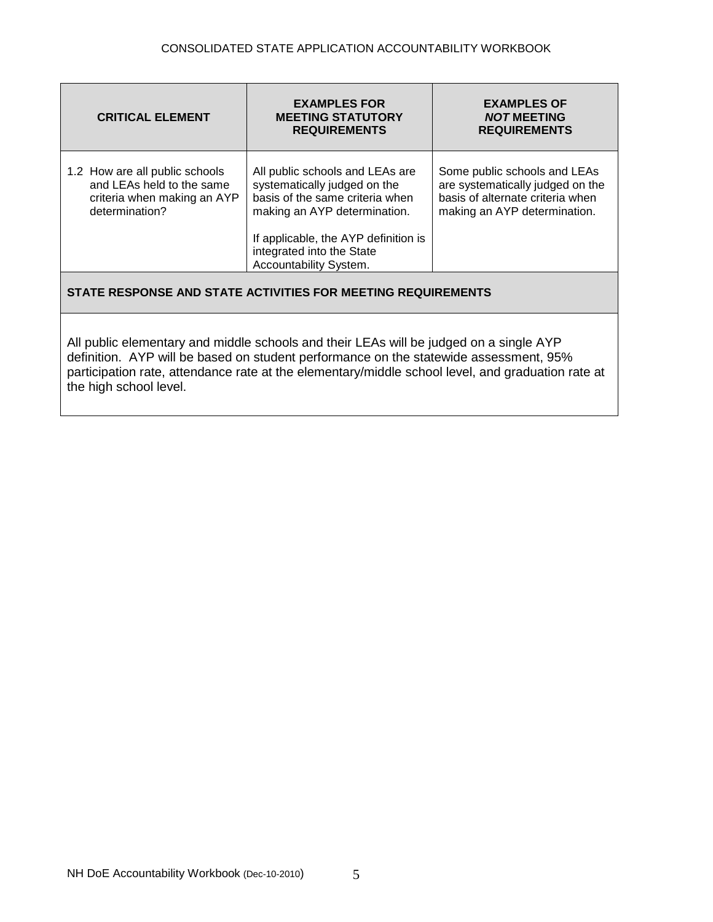| <b>CRITICAL ELEMENT</b>                                                                                      | <b>EXAMPLES FOR</b><br><b>MEETING STATUTORY</b><br><b>REQUIREMENTS</b>                                                                                                                                  | <b>EXAMPLES OF</b><br><b>NOT MEETING</b><br><b>REQUIREMENTS</b>                                                                      |  |
|--------------------------------------------------------------------------------------------------------------|---------------------------------------------------------------------------------------------------------------------------------------------------------------------------------------------------------|--------------------------------------------------------------------------------------------------------------------------------------|--|
| 1.2 How are all public schools<br>and LEAs held to the same<br>criteria when making an AYP<br>determination? | All public schools and LEAs are<br>systematically judged on the<br>basis of the same criteria when<br>making an AYP determination.<br>If applicable, the AYP definition is<br>integrated into the State | Some public schools and LEAs<br>are systematically judged on the<br>basis of alternate criteria when<br>making an AYP determination. |  |
| Accountability System.<br>STATE RESPONSE AND STATE ACTIVITIES FOR MEETING REQUIREMENTS                       |                                                                                                                                                                                                         |                                                                                                                                      |  |

All public elementary and middle schools and their LEAs will be judged on a single AYP definition. AYP will be based on student performance on the statewide assessment, 95% participation rate, attendance rate at the elementary/middle school level, and graduation rate at the high school level.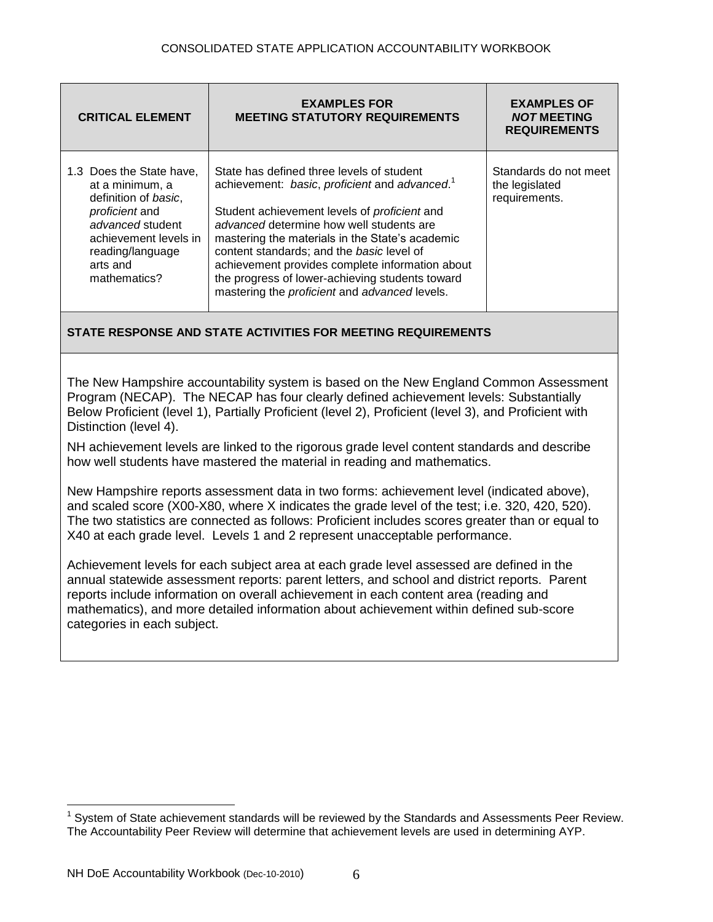| <b>CRITICAL ELEMENT</b>                                                                                                                                                            | <b>EXAMPLES FOR</b><br><b>MEETING STATUTORY REQUIREMENTS</b>                                                                                                                                                                                                                                                                                                                                                                                              | <b>EXAMPLES OF</b><br><b>NOT MEETING</b><br><b>REQUIREMENTS</b> |
|------------------------------------------------------------------------------------------------------------------------------------------------------------------------------------|-----------------------------------------------------------------------------------------------------------------------------------------------------------------------------------------------------------------------------------------------------------------------------------------------------------------------------------------------------------------------------------------------------------------------------------------------------------|-----------------------------------------------------------------|
| 1.3 Does the State have,<br>at a minimum, a<br>definition of basic,<br>proficient and<br>advanced student<br>achievement levels in<br>reading/language<br>arts and<br>mathematics? | State has defined three levels of student<br>achievement: basic, proficient and advanced. <sup>1</sup><br>Student achievement levels of proficient and<br>advanced determine how well students are<br>mastering the materials in the State's academic<br>content standards; and the basic level of<br>achievement provides complete information about<br>the progress of lower-achieving students toward<br>mastering the proficient and advanced levels. | Standards do not meet<br>the legislated<br>requirements.        |

The New Hampshire accountability system is based on the New England Common Assessment Program (NECAP). The NECAP has four clearly defined achievement levels: Substantially Below Proficient (level 1), Partially Proficient (level 2), Proficient (level 3), and Proficient with Distinction (level 4).

NH achievement levels are linked to the rigorous grade level content standards and describe how well students have mastered the material in reading and mathematics.

New Hampshire reports assessment data in two forms: achievement level (indicated above), and scaled score (X00-X80, where X indicates the grade level of the test; i.e. 320, 420, 520). The two statistics are connected as follows: Proficient includes scores greater than or equal to X40 at each grade level. Level*s* 1 and 2 represent unacceptable performance.

Achievement levels for each subject area at each grade level assessed are defined in the annual statewide assessment reports: parent letters, and school and district reports. Parent reports include information on overall achievement in each content area (reading and mathematics), and more detailed information about achievement within defined sub-score categories in each subject.

 $\overline{a}$ 

<sup>1</sup> System of State achievement standards will be reviewed by the Standards and Assessments Peer Review. The Accountability Peer Review will determine that achievement levels are used in determining AYP.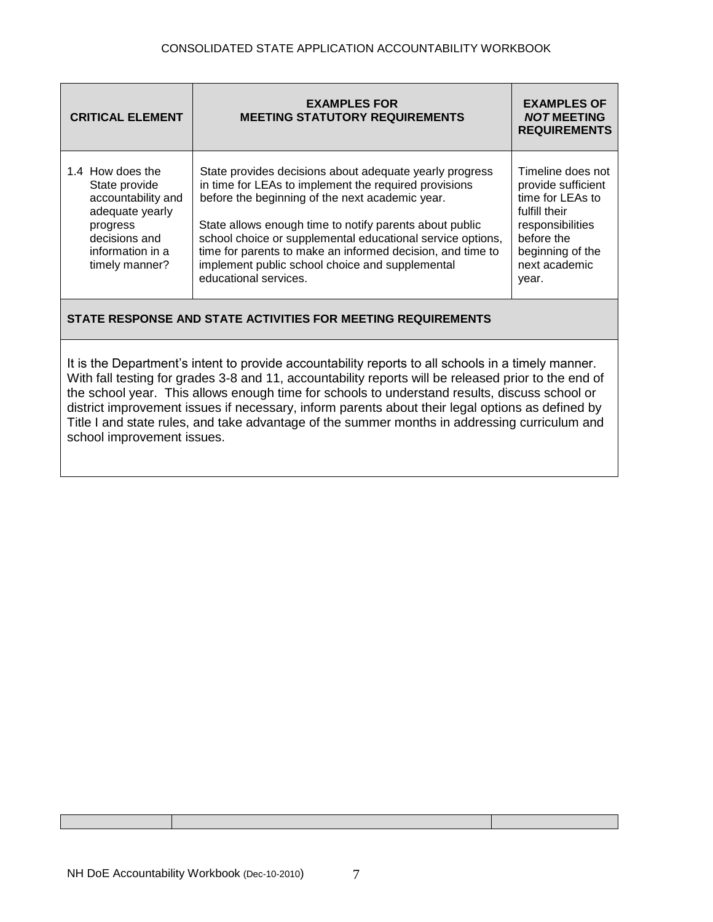| <b>CRITICAL ELEMENT</b>                                                                                                                       | <b>EXAMPLES FOR</b><br><b>MEETING STATUTORY REQUIREMENTS</b>                                                                                                                                                                                                                                                                                                                                                                           | <b>EXAMPLES OF</b><br><b>NOT MEETING</b><br><b>REQUIREMENTS</b>                                                                                              |
|-----------------------------------------------------------------------------------------------------------------------------------------------|----------------------------------------------------------------------------------------------------------------------------------------------------------------------------------------------------------------------------------------------------------------------------------------------------------------------------------------------------------------------------------------------------------------------------------------|--------------------------------------------------------------------------------------------------------------------------------------------------------------|
| 1.4 How does the<br>State provide<br>accountability and<br>adequate yearly<br>progress<br>decisions and<br>information in a<br>timely manner? | State provides decisions about adequate yearly progress<br>in time for LEAs to implement the required provisions<br>before the beginning of the next academic year.<br>State allows enough time to notify parents about public<br>school choice or supplemental educational service options,<br>time for parents to make an informed decision, and time to<br>implement public school choice and supplemental<br>educational services. | Timeline does not<br>provide sufficient<br>time for LEAs to<br>fulfill their<br>responsibilities<br>before the<br>beginning of the<br>next academic<br>year. |
|                                                                                                                                               |                                                                                                                                                                                                                                                                                                                                                                                                                                        |                                                                                                                                                              |

It is the Department's intent to provide accountability reports to all schools in a timely manner. With fall testing for grades 3-8 and 11, accountability reports will be released prior to the end of the school year. This allows enough time for schools to understand results, discuss school or district improvement issues if necessary, inform parents about their legal options as defined by Title I and state rules, and take advantage of the summer months in addressing curriculum and school improvement issues.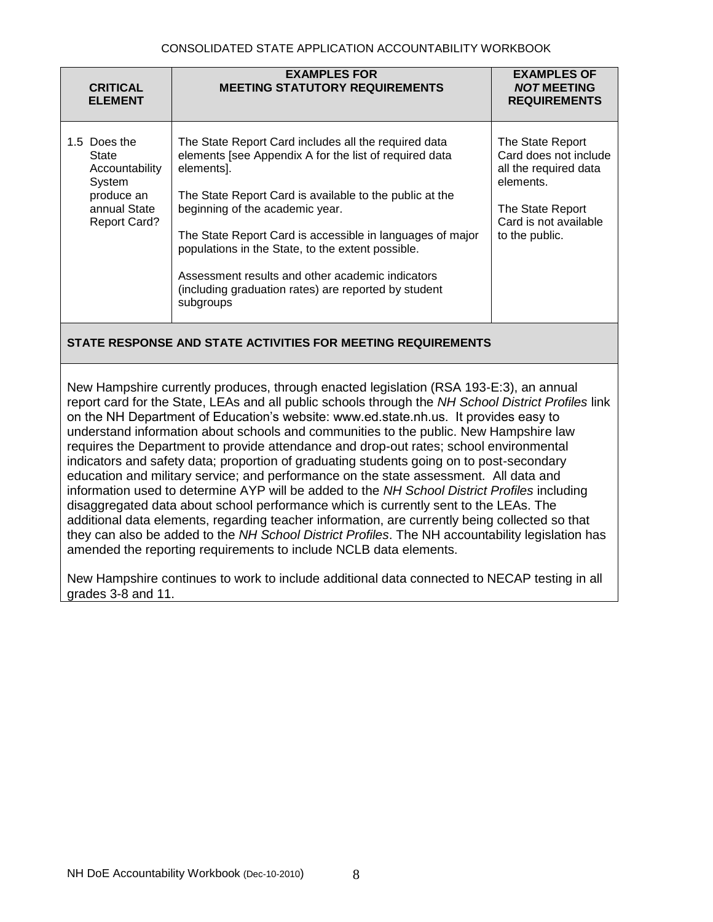#### CONSOLIDATED STATE APPLICATION ACCOUNTABILITY WORKBOOK

| <b>CRITICAL</b><br><b>ELEMENT</b>                                                                      | <b>EXAMPLES FOR</b><br><b>MEETING STATUTORY REQUIREMENTS</b>                                                                                                                                                                                                                                                                                                                                                                                                          | <b>EXAMPLES OF</b><br><b>NOT MEETING</b><br><b>REQUIREMENTS</b>                                                                                |
|--------------------------------------------------------------------------------------------------------|-----------------------------------------------------------------------------------------------------------------------------------------------------------------------------------------------------------------------------------------------------------------------------------------------------------------------------------------------------------------------------------------------------------------------------------------------------------------------|------------------------------------------------------------------------------------------------------------------------------------------------|
| 1.5 Does the<br>State<br>Accountability<br>System<br>produce an<br>annual State<br><b>Report Card?</b> | The State Report Card includes all the required data<br>elements [see Appendix A for the list of required data<br>elements].<br>The State Report Card is available to the public at the<br>beginning of the academic year.<br>The State Report Card is accessible in languages of major<br>populations in the State, to the extent possible.<br>Assessment results and other academic indicators<br>(including graduation rates) are reported by student<br>subgroups | The State Report<br>Card does not include<br>all the required data<br>elements.<br>The State Report<br>Card is not available<br>to the public. |

## **STATE RESPONSE AND STATE ACTIVITIES FOR MEETING REQUIREMENTS**

New Hampshire currently produces, through enacted legislation (RSA 193-E:3), an annual report card for the State, LEAs and all public schools through the *NH School District Profiles* link on the NH Department of Education's website: www.ed.state.nh.us. It provides easy to understand information about schools and communities to the public. New Hampshire law requires the Department to provide attendance and drop-out rates; school environmental indicators and safety data; proportion of graduating students going on to post-secondary education and military service; and performance on the state assessment. All data and information used to determine AYP will be added to the *NH School District Profiles* including disaggregated data about school performance which is currently sent to the LEAs. The additional data elements, regarding teacher information, are currently being collected so that they can also be added to the *NH School District Profiles*. The NH accountability legislation has amended the reporting requirements to include NCLB data elements.

New Hampshire continues to work to include additional data connected to NECAP testing in all grades 3-8 and 11.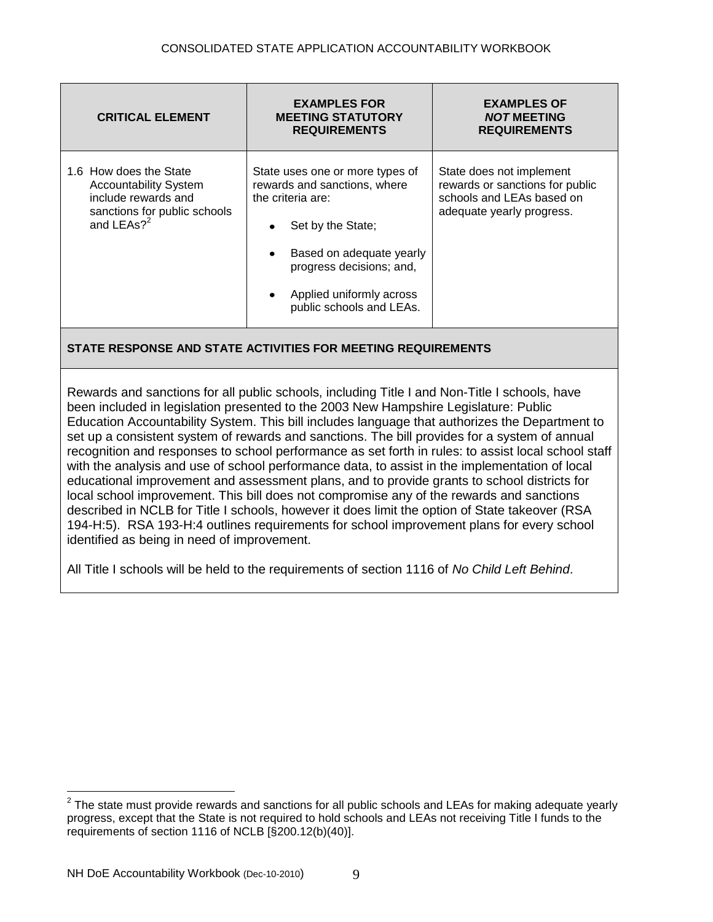| <b>CRITICAL ELEMENT</b>                                                                                                         | <b>EXAMPLES FOR</b><br><b>MEETING STATUTORY</b><br><b>REQUIREMENTS</b>                                                                                                                                                                                   | <b>EXAMPLES OF</b><br><b>NOT MEETING</b><br><b>REQUIREMENTS</b>                                                       |
|---------------------------------------------------------------------------------------------------------------------------------|----------------------------------------------------------------------------------------------------------------------------------------------------------------------------------------------------------------------------------------------------------|-----------------------------------------------------------------------------------------------------------------------|
| 1.6 How does the State<br><b>Accountability System</b><br>include rewards and<br>sanctions for public schools<br>and LEAs $?^2$ | State uses one or more types of<br>rewards and sanctions, where<br>the criteria are:<br>Set by the State;<br>$\bullet$<br>Based on adequate yearly<br>٠<br>progress decisions; and,<br>Applied uniformly across<br>$\bullet$<br>public schools and LEAs. | State does not implement<br>rewards or sanctions for public<br>schools and LEAs based on<br>adequate yearly progress. |

Rewards and sanctions for all public schools, including Title I and Non-Title I schools, have been included in legislation presented to the 2003 New Hampshire Legislature: Public Education Accountability System. This bill includes language that authorizes the Department to set up a consistent system of rewards and sanctions. The bill provides for a system of annual recognition and responses to school performance as set forth in rules: to assist local school staff with the analysis and use of school performance data, to assist in the implementation of local educational improvement and assessment plans, and to provide grants to school districts for local school improvement. This bill does not compromise any of the rewards and sanctions described in NCLB for Title I schools, however it does limit the option of State takeover (RSA 194-H:5). RSA 193-H:4 outlines requirements for school improvement plans for every school identified as being in need of improvement.

All Title I schools will be held to the requirements of section 1116 of *No Child Left Behind*.

 $\overline{a}$ 

 $2$  The state must provide rewards and sanctions for all public schools and LEAs for making adequate yearly progress, except that the State is not required to hold schools and LEAs not receiving Title I funds to the requirements of section 1116 of NCLB [§200.12(b)(40)].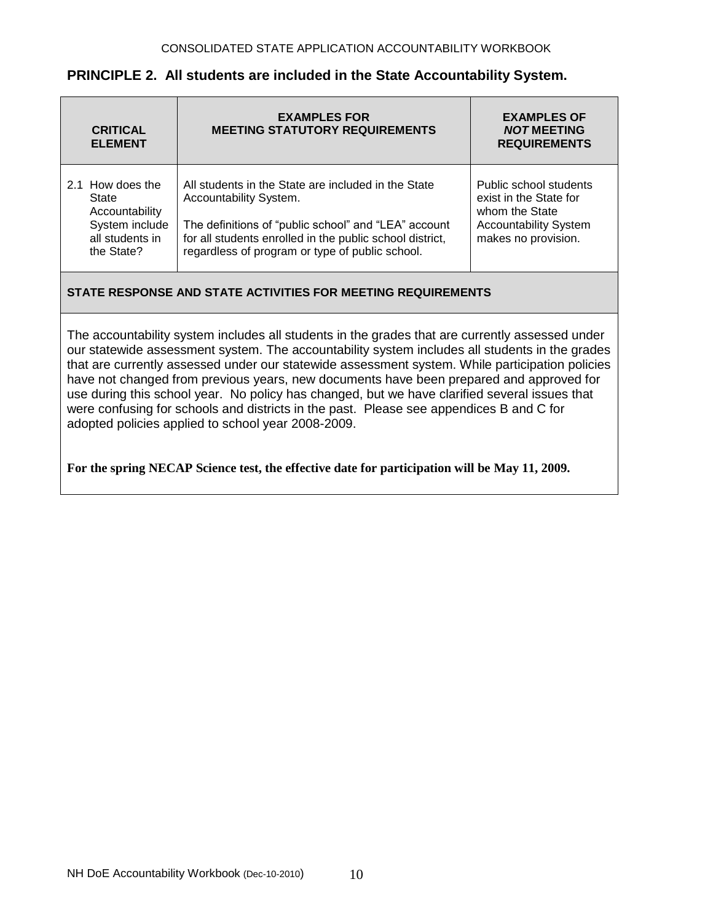| <b>CRITICAL</b><br><b>ELEMENT</b>                                                              | <b>EXAMPLES FOR</b><br><b>MEETING STATUTORY REQUIREMENTS</b>                                                                                                                                                                                         | <b>EXAMPLES OF</b><br><b>NOT MEETING</b><br><b>REQUIREMENTS</b>                                                           |
|------------------------------------------------------------------------------------------------|------------------------------------------------------------------------------------------------------------------------------------------------------------------------------------------------------------------------------------------------------|---------------------------------------------------------------------------------------------------------------------------|
| 2.1 How does the<br>State<br>Accountability<br>System include<br>all students in<br>the State? | All students in the State are included in the State<br>Accountability System.<br>The definitions of "public school" and "LEA" account<br>for all students enrolled in the public school district,<br>regardless of program or type of public school. | Public school students<br>exist in the State for<br>whom the State<br><b>Accountability System</b><br>makes no provision. |
| STATE RESPONSE AND STATE ACTIVITIES FOR MEETING REQUIREMENTS                                   |                                                                                                                                                                                                                                                      |                                                                                                                           |

## **PRINCIPLE 2. All students are included in the State Accountability System.**

The accountability system includes all students in the grades that are currently assessed under our statewide assessment system. The accountability system includes all students in the grades that are currently assessed under our statewide assessment system. While participation policies have not changed from previous years, new documents have been prepared and approved for use during this school year. No policy has changed, but we have clarified several issues that were confusing for schools and districts in the past. Please see appendices B and C for adopted policies applied to school year 2008-2009.

## **For the spring NECAP Science test, the effective date for participation will be May 11, 2009.**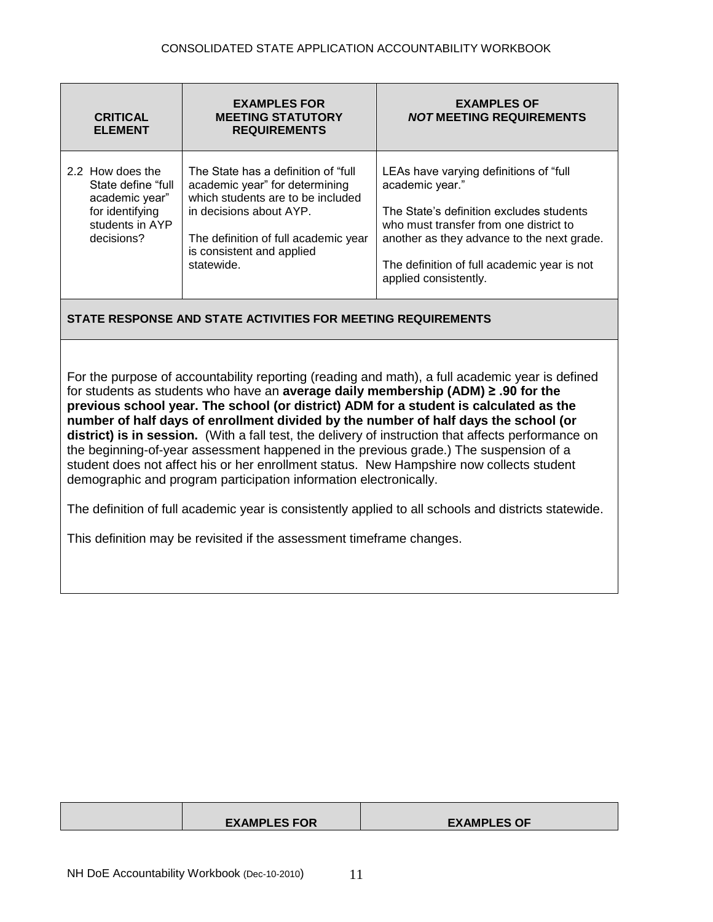| <b>CRITICAL</b><br><b>ELEMENT</b>                                                                            | <b>EXAMPLES FOR</b><br><b>MEETING STATUTORY</b><br><b>REQUIREMENTS</b>                                                                                                                                                    | <b>EXAMPLES OF</b><br><b>NOT MEETING REQUIREMENTS</b>                                                                                                                                                                                                                  |
|--------------------------------------------------------------------------------------------------------------|---------------------------------------------------------------------------------------------------------------------------------------------------------------------------------------------------------------------------|------------------------------------------------------------------------------------------------------------------------------------------------------------------------------------------------------------------------------------------------------------------------|
| 2.2 How does the<br>State define "full<br>academic year"<br>for identifying<br>students in AYP<br>decisions? | The State has a definition of "full"<br>academic year" for determining<br>which students are to be included<br>in decisions about AYP.<br>The definition of full academic year<br>is consistent and applied<br>statewide. | LEAs have varying definitions of "full"<br>academic year."<br>The State's definition excludes students<br>who must transfer from one district to<br>another as they advance to the next grade.<br>The definition of full academic year is not<br>applied consistently. |

For the purpose of accountability reporting (reading and math), a full academic year is defined for students as students who have an **average daily membership (ADM) ≥ .90 for the previous school year. The school (or district) ADM for a student is calculated as the number of half days of enrollment divided by the number of half days the school (or district) is in session.** (With a fall test, the delivery of instruction that affects performance on the beginning-of-year assessment happened in the previous grade.) The suspension of a student does not affect his or her enrollment status. New Hampshire now collects student demographic and program participation information electronically.

The definition of full academic year is consistently applied to all schools and districts statewide.

This definition may be revisited if the assessment timeframe changes.

| <b>EXAMPLES FOR</b> | <b>EXAMPLES OF</b> |
|---------------------|--------------------|
|                     |                    |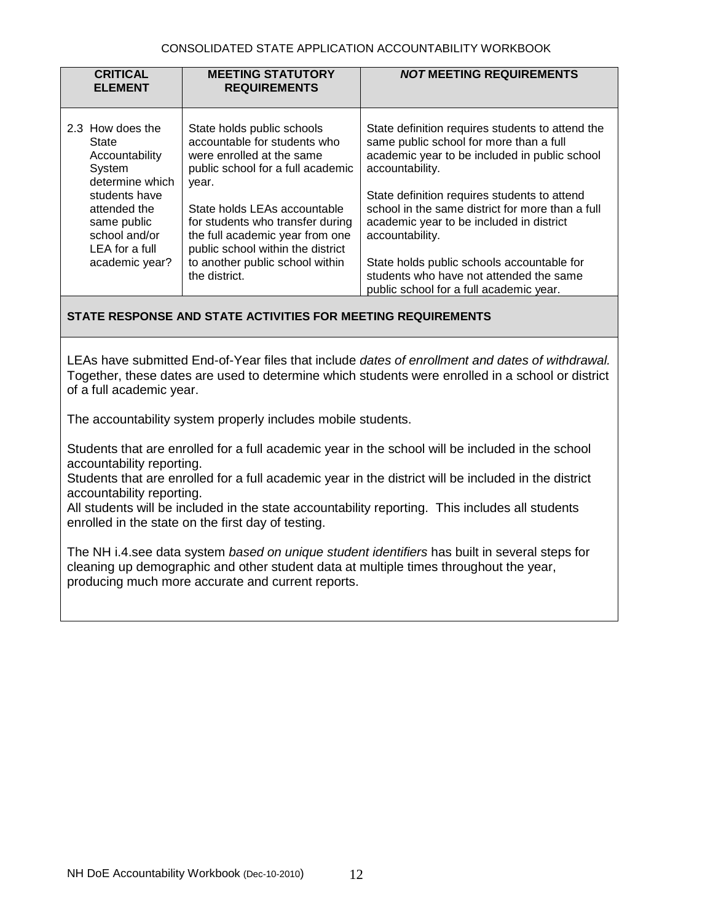#### CONSOLIDATED STATE APPLICATION ACCOUNTABILITY WORKBOOK

| <b>CRITICAL</b><br><b>ELEMENT</b>                                                                                                                                             | <b>MEETING STATUTORY</b><br><b>REQUIREMENTS</b>                                                                                                                                                                                                                                                                                       | <b>NOT MEETING REQUIREMENTS</b>                                                                                                                                                                                                                                                                                                                                                                                             |
|-------------------------------------------------------------------------------------------------------------------------------------------------------------------------------|---------------------------------------------------------------------------------------------------------------------------------------------------------------------------------------------------------------------------------------------------------------------------------------------------------------------------------------|-----------------------------------------------------------------------------------------------------------------------------------------------------------------------------------------------------------------------------------------------------------------------------------------------------------------------------------------------------------------------------------------------------------------------------|
| 2.3 How does the<br>State<br>Accountability<br>System<br>determine which<br>students have<br>attended the<br>same public<br>school and/or<br>LEA for a full<br>academic year? | State holds public schools<br>accountable for students who<br>were enrolled at the same<br>public school for a full academic<br>year.<br>State holds LEAs accountable<br>for students who transfer during<br>the full academic year from one<br>public school within the district<br>to another public school within<br>the district. | State definition requires students to attend the<br>same public school for more than a full<br>academic year to be included in public school<br>accountability.<br>State definition requires students to attend<br>school in the same district for more than a full<br>academic year to be included in district<br>accountability.<br>State holds public schools accountable for<br>students who have not attended the same |
|                                                                                                                                                                               |                                                                                                                                                                                                                                                                                                                                       | public school for a full academic year.                                                                                                                                                                                                                                                                                                                                                                                     |

## **STATE RESPONSE AND STATE ACTIVITIES FOR MEETING REQUIREMENTS**

LEAs have submitted End-of-Year files that include *dates of enrollment and dates of withdrawal.* Together, these dates are used to determine which students were enrolled in a school or district of a full academic year.

The accountability system properly includes mobile students.

Students that are enrolled for a full academic year in the school will be included in the school accountability reporting.

Students that are enrolled for a full academic year in the district will be included in the district accountability reporting.

All students will be included in the state accountability reporting. This includes all students enrolled in the state on the first day of testing.

The NH i.4.see data system *based on unique student identifiers* has built in several steps for cleaning up demographic and other student data at multiple times throughout the year, producing much more accurate and current reports.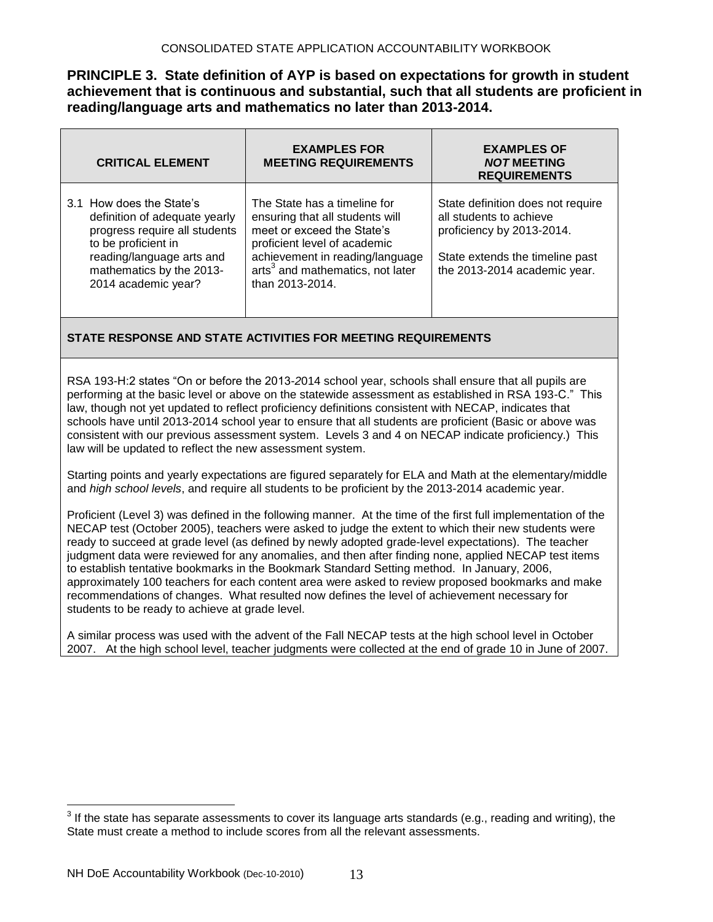**PRINCIPLE 3. State definition of AYP is based on expectations for growth in student achievement that is continuous and substantial, such that all students are proficient in reading/language arts and mathematics no later than 2013-2014.**

| <b>CRITICAL ELEMENT</b>                                                                                                                                                                           | <b>EXAMPLES FOR</b><br><b>MEETING REQUIREMENTS</b>                                                                                                                                                                                  | <b>EXAMPLES OF</b><br><b>NOT MEETING</b><br><b>REQUIREMENTS</b>                                                                                              |
|---------------------------------------------------------------------------------------------------------------------------------------------------------------------------------------------------|-------------------------------------------------------------------------------------------------------------------------------------------------------------------------------------------------------------------------------------|--------------------------------------------------------------------------------------------------------------------------------------------------------------|
| 3.1 How does the State's<br>definition of adequate yearly<br>progress require all students<br>to be proficient in<br>reading/language arts and<br>mathematics by the 2013-<br>2014 academic year? | The State has a timeline for<br>ensuring that all students will<br>meet or exceed the State's<br>proficient level of academic<br>achievement in reading/language<br>arts <sup>3</sup> and mathematics, not later<br>than 2013-2014. | State definition does not require<br>all students to achieve<br>proficiency by 2013-2014.<br>State extends the timeline past<br>the 2013-2014 academic year. |

#### **STATE RESPONSE AND STATE ACTIVITIES FOR MEETING REQUIREMENTS**

RSA 193-H:2 states "On or before the 2013-*2*014 school year, schools shall ensure that all pupils are performing at the basic level or above on the statewide assessment as established in RSA 193-C." This law, though not yet updated to reflect proficiency definitions consistent with NECAP, indicates that schools have until 2013-2014 school year to ensure that all students are proficient (Basic or above was consistent with our previous assessment system. Levels 3 and 4 on NECAP indicate proficiency.) This law will be updated to reflect the new assessment system.

Starting points and yearly expectations are figured separately for ELA and Math at the elementary/middle and *high school levels*, and require all students to be proficient by the 2013-2014 academic year.

Proficient (Level 3) was defined in the following manner. At the time of the first full implementation of the NECAP test (October 2005), teachers were asked to judge the extent to which their new students were ready to succeed at grade level (as defined by newly adopted grade-level expectations). The teacher judgment data were reviewed for any anomalies, and then after finding none, applied NECAP test items to establish tentative bookmarks in the Bookmark Standard Setting method. In January, 2006, approximately 100 teachers for each content area were asked to review proposed bookmarks and make recommendations of changes. What resulted now defines the level of achievement necessary for students to be ready to achieve at grade level.

A similar process was used with the advent of the Fall NECAP tests at the high school level in October 2007. At the high school level, teacher judgments were collected at the end of grade 10 in June of 2007.

 $\overline{a}$ 

 $^3$  If the state has separate assessments to cover its language arts standards (e.g., reading and writing), the State must create a method to include scores from all the relevant assessments.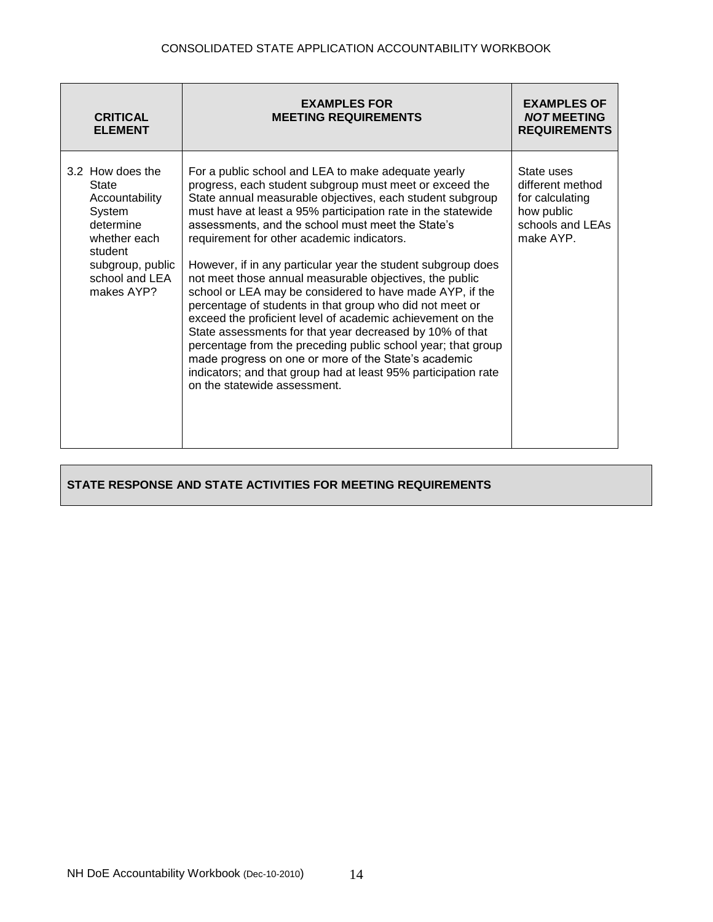| <b>CRITICAL</b><br><b>ELEMENT</b>                                                                                                                 | <b>EXAMPLES FOR</b><br><b>MEETING REQUIREMENTS</b>                                                                                                                                                                                                                                                                                                                                                                                                                                                                                                                                                                                                                                                                                                                                                                                                                                                                                                    | <b>EXAMPLES OF</b><br><b>NOT MEETING</b><br><b>REQUIREMENTS</b>                                  |
|---------------------------------------------------------------------------------------------------------------------------------------------------|-------------------------------------------------------------------------------------------------------------------------------------------------------------------------------------------------------------------------------------------------------------------------------------------------------------------------------------------------------------------------------------------------------------------------------------------------------------------------------------------------------------------------------------------------------------------------------------------------------------------------------------------------------------------------------------------------------------------------------------------------------------------------------------------------------------------------------------------------------------------------------------------------------------------------------------------------------|--------------------------------------------------------------------------------------------------|
| 3.2 How does the<br>State<br>Accountability<br>System<br>determine<br>whether each<br>student<br>subgroup, public<br>school and LEA<br>makes AYP? | For a public school and LEA to make adequate yearly<br>progress, each student subgroup must meet or exceed the<br>State annual measurable objectives, each student subgroup<br>must have at least a 95% participation rate in the statewide<br>assessments, and the school must meet the State's<br>requirement for other academic indicators.<br>However, if in any particular year the student subgroup does<br>not meet those annual measurable objectives, the public<br>school or LEA may be considered to have made AYP, if the<br>percentage of students in that group who did not meet or<br>exceed the proficient level of academic achievement on the<br>State assessments for that year decreased by 10% of that<br>percentage from the preceding public school year; that group<br>made progress on one or more of the State's academic<br>indicators; and that group had at least 95% participation rate<br>on the statewide assessment. | State uses<br>different method<br>for calculating<br>how public<br>schools and LEAs<br>make AYP. |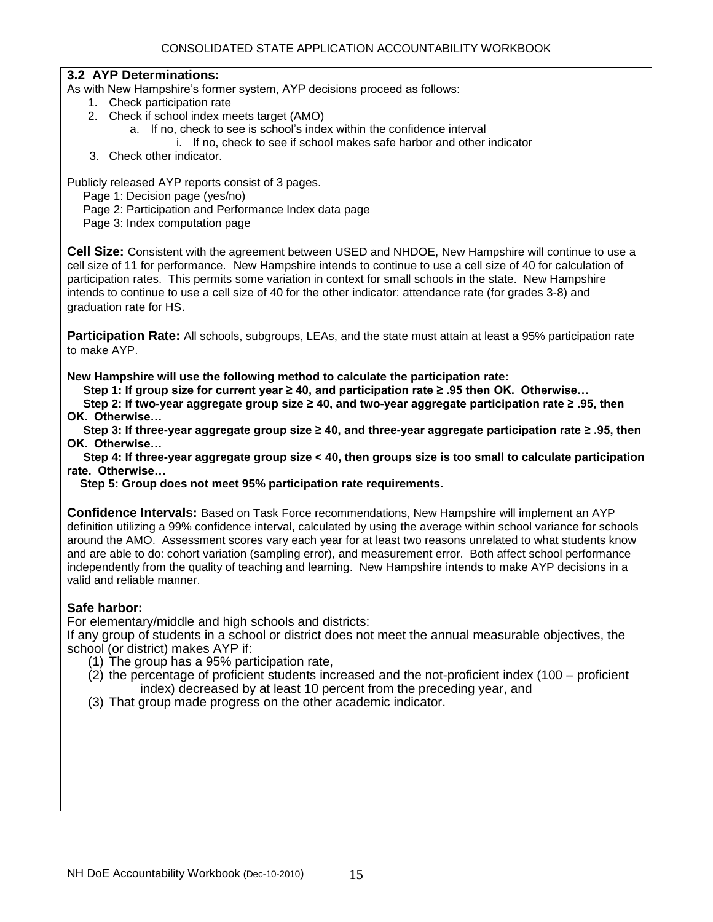#### **3.2 AYP Determinations:**

As with New Hampshire's former system, AYP decisions proceed as follows:

- 1. Check participation rate
- 2. Check if school index meets target (AMO)
	- a. If no, check to see is school's index within the confidence interval
		- i. If no, check to see if school makes safe harbor and other indicator
- 3. Check other indicator.

Publicly released AYP reports consist of 3 pages.

Page 1: Decision page (yes/no)

Page 2: Participation and Performance Index data page

Page 3: Index computation page

**Cell Size:** Consistent with the agreement between USED and NHDOE, New Hampshire will continue to use a cell size of 11 for performance.New Hampshire intends to continue to use a cell size of 40 for calculation of participation rates. This permits some variation in context for small schools in the state. New Hampshire intends to continue to use a cell size of 40 for the other indicator: attendance rate (for grades 3-8) and graduation rate for HS.

**Participation Rate:** All schools, subgroups, LEAs, and the state must attain at least a 95% participation rate to make AYP.

**New Hampshire will use the following method to calculate the participation rate:**

 **Step 1: If group size for current year ≥ 40, and participation rate ≥ .95 then OK. Otherwise…**

 **Step 2: If two-year aggregate group size ≥ 40, and two-year aggregate participation rate ≥ .95, then OK. Otherwise…**

 **Step 3: If three-year aggregate group size ≥ 40, and three-year aggregate participation rate ≥ .95, then OK. Otherwise…**

 **Step 4: If three-year aggregate group size < 40, then groups size is too small to calculate participation rate. Otherwise…**

 **Step 5: Group does not meet 95% participation rate requirements.**

**Confidence Intervals:** Based on Task Force recommendations, New Hampshire will implement an AYP definition utilizing a 99% confidence interval, calculated by using the average within school variance for schools around the AMO. Assessment scores vary each year for at least two reasons unrelated to what students know and are able to do: cohort variation (sampling error), and measurement error. Both affect school performance independently from the quality of teaching and learning. New Hampshire intends to make AYP decisions in a valid and reliable manner.

## **Safe harbor:**

For elementary/middle and high schools and districts:

If any group of students in a school or district does not meet the annual measurable objectives, the school (or district) makes AYP if:

- (1) The group has a 95% participation rate,
- (2) the percentage of proficient students increased and the not-proficient index (100 proficient index) decreased by at least 10 percent from the preceding year, and
- (3) That group made progress on the other academic indicator.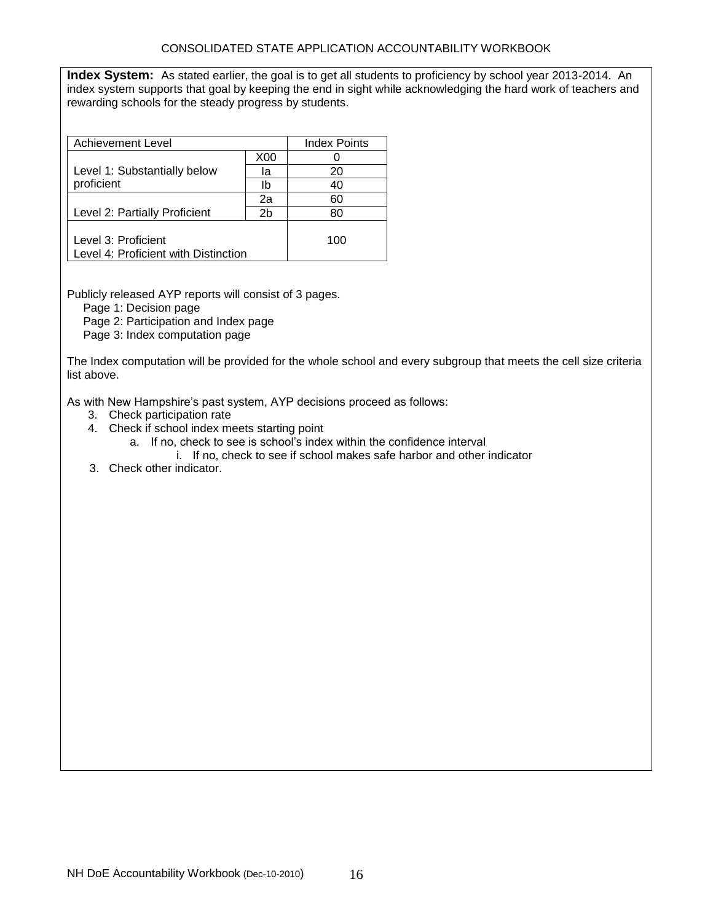**Index System:** As stated earlier, the goal is to get all students to proficiency by school year 2013-2014. An index system supports that goal by keeping the end in sight while acknowledging the hard work of teachers and rewarding schools for the steady progress by students.

| Achievement Level                                           |     | <b>Index Points</b> |
|-------------------------------------------------------------|-----|---------------------|
|                                                             | X00 |                     |
| Level 1: Substantially below                                | la  | 20                  |
| proficient                                                  | lb  | 40                  |
|                                                             | 2a  | 60                  |
| Level 2: Partially Proficient                               | 2b  | 80                  |
| Level 3: Proficient<br>Level 4: Proficient with Distinction |     | 100                 |

Publicly released AYP reports will consist of 3 pages.

Page 1: Decision page

Page 2: Participation and Index page

Page 3: Index computation page

The Index computation will be provided for the whole school and every subgroup that meets the cell size criteria list above.

As with New Hampshire's past system, AYP decisions proceed as follows:

- 3. Check participation rate
- 4. Check if school index meets starting point
	- a. If no, check to see is school's index within the confidence interval
	- i. If no, check to see if school makes safe harbor and other indicator
- 3. Check other indicator.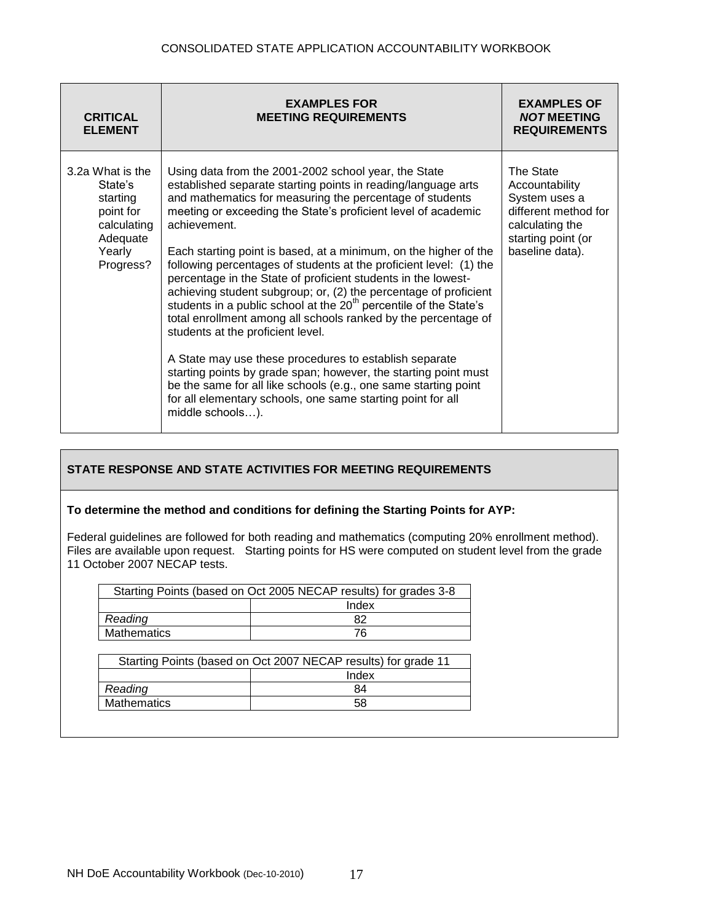| <b>CRITICAL</b><br><b>ELEMENT</b>                                                                      | <b>EXAMPLES FOR</b><br><b>MEETING REQUIREMENTS</b>                                                                                                                                                                                                                                                                                                                                                                                                                                                                                                                                                                                                                                                                                                                                                                                                                                                                                                                                                                           | <b>EXAMPLES OF</b><br><b>NOT MEETING</b><br><b>REQUIREMENTS</b>                                                                  |
|--------------------------------------------------------------------------------------------------------|------------------------------------------------------------------------------------------------------------------------------------------------------------------------------------------------------------------------------------------------------------------------------------------------------------------------------------------------------------------------------------------------------------------------------------------------------------------------------------------------------------------------------------------------------------------------------------------------------------------------------------------------------------------------------------------------------------------------------------------------------------------------------------------------------------------------------------------------------------------------------------------------------------------------------------------------------------------------------------------------------------------------------|----------------------------------------------------------------------------------------------------------------------------------|
| 3.2a What is the<br>State's<br>starting<br>point for<br>calculating<br>Adequate<br>Yearly<br>Progress? | Using data from the 2001-2002 school year, the State<br>established separate starting points in reading/language arts<br>and mathematics for measuring the percentage of students<br>meeting or exceeding the State's proficient level of academic<br>achievement.<br>Each starting point is based, at a minimum, on the higher of the<br>following percentages of students at the proficient level: (1) the<br>percentage in the State of proficient students in the lowest-<br>achieving student subgroup; or, (2) the percentage of proficient<br>students in a public school at the 20 <sup>th</sup> percentile of the State's<br>total enrollment among all schools ranked by the percentage of<br>students at the proficient level.<br>A State may use these procedures to establish separate<br>starting points by grade span; however, the starting point must<br>be the same for all like schools (e.g., one same starting point<br>for all elementary schools, one same starting point for all<br>middle schools). | The State<br>Accountability<br>System uses a<br>different method for<br>calculating the<br>starting point (or<br>baseline data). |

#### **To determine the method and conditions for defining the Starting Points for AYP:**

Federal guidelines are followed for both reading and mathematics (computing 20% enrollment method). Files are available upon request. Starting points for HS were computed on student level from the grade 11 October 2007 NECAP tests.

| Starting Points (based on Oct 2005 NECAP results) for grades 3-8 |       |  |
|------------------------------------------------------------------|-------|--|
|                                                                  | Index |  |
| Reading                                                          | 82    |  |
| <b>Mathematics</b>                                               | 76    |  |
|                                                                  |       |  |

| Starting Points (based on Oct 2007 NECAP results) for grade 11 |    |  |
|----------------------------------------------------------------|----|--|
| Index                                                          |    |  |
| Reading                                                        | 84 |  |
| Mathematics                                                    | 58 |  |
|                                                                |    |  |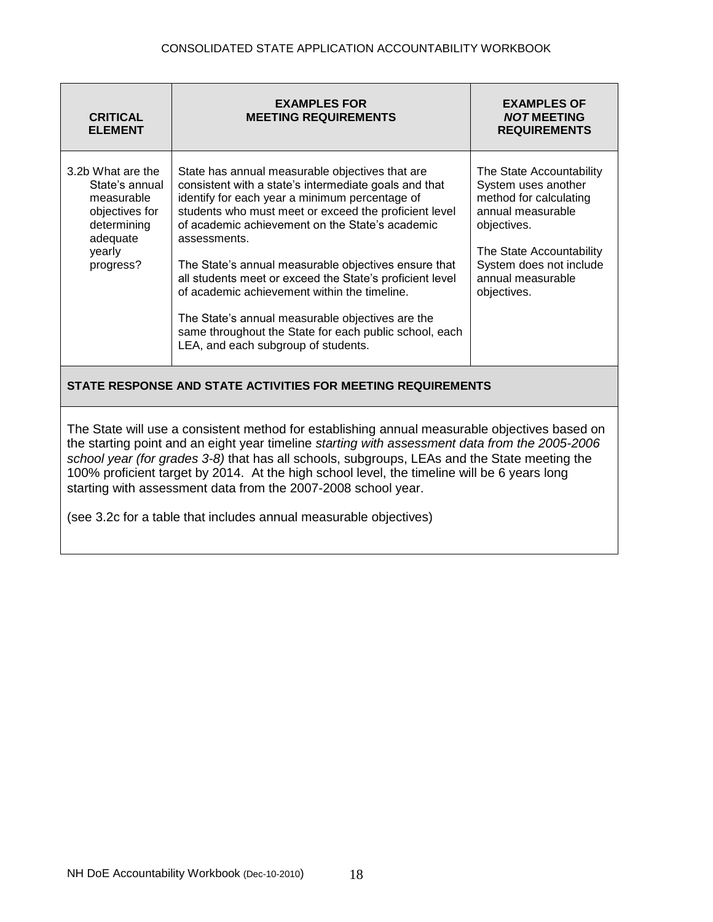| <b>CRITICAL</b><br><b>ELEMENT</b>                                                                                                                                                                                                                                                                                                                                                                                                                                                                                                    | <b>EXAMPLES FOR</b><br><b>MEETING REQUIREMENTS</b>                                                                                                                                                                                                                                                                                                                                                                                                                                                                                                                                                              | <b>EXAMPLES OF</b><br><b>NOT MEETING</b><br><b>REQUIREMENTS</b>                                                                                                                                          |  |
|--------------------------------------------------------------------------------------------------------------------------------------------------------------------------------------------------------------------------------------------------------------------------------------------------------------------------------------------------------------------------------------------------------------------------------------------------------------------------------------------------------------------------------------|-----------------------------------------------------------------------------------------------------------------------------------------------------------------------------------------------------------------------------------------------------------------------------------------------------------------------------------------------------------------------------------------------------------------------------------------------------------------------------------------------------------------------------------------------------------------------------------------------------------------|----------------------------------------------------------------------------------------------------------------------------------------------------------------------------------------------------------|--|
| 3.2b What are the<br>State's annual<br>measurable<br>objectives for<br>determining<br>adequate<br>yearly<br>progress?                                                                                                                                                                                                                                                                                                                                                                                                                | State has annual measurable objectives that are<br>consistent with a state's intermediate goals and that<br>identify for each year a minimum percentage of<br>students who must meet or exceed the proficient level<br>of academic achievement on the State's academic<br>assessments.<br>The State's annual measurable objectives ensure that<br>all students meet or exceed the State's proficient level<br>of academic achievement within the timeline.<br>The State's annual measurable objectives are the<br>same throughout the State for each public school, each<br>LEA, and each subgroup of students. | The State Accountability<br>System uses another<br>method for calculating<br>annual measurable<br>objectives.<br>The State Accountability<br>System does not include<br>annual measurable<br>objectives. |  |
| STATE RESPONSE AND STATE ACTIVITIES FOR MEETING REQUIREMENTS                                                                                                                                                                                                                                                                                                                                                                                                                                                                         |                                                                                                                                                                                                                                                                                                                                                                                                                                                                                                                                                                                                                 |                                                                                                                                                                                                          |  |
| The State will use a consistent method for establishing annual measurable objectives based on<br>the starting point and an eight year timeline starting with assessment data from the 2005-2006<br>school year (for grades 3-8) that has all schools, subgroups, LEAs and the State meeting the<br>100% proficient target by 2014. At the high school level, the timeline will be 6 years long<br>starting with assessment data from the 2007-2008 school year.<br>(see 3.2c for a table that includes annual measurable objectives) |                                                                                                                                                                                                                                                                                                                                                                                                                                                                                                                                                                                                                 |                                                                                                                                                                                                          |  |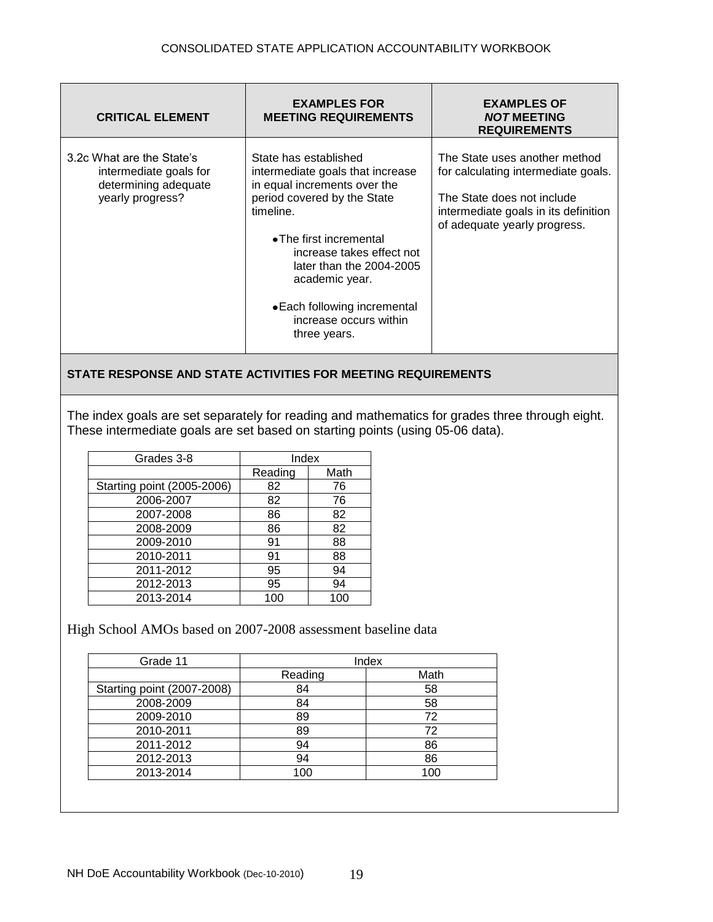| <b>CRITICAL ELEMENT</b>                                                                         | <b>EXAMPLES FOR</b><br><b>MEETING REQUIREMENTS</b>                                                                                                                                                                                                                                                                    | <b>EXAMPLES OF</b><br><b>NOT MEETING</b><br><b>REQUIREMENTS</b>                                                                                                            |
|-------------------------------------------------------------------------------------------------|-----------------------------------------------------------------------------------------------------------------------------------------------------------------------------------------------------------------------------------------------------------------------------------------------------------------------|----------------------------------------------------------------------------------------------------------------------------------------------------------------------------|
| 3.2c What are the State's<br>intermediate goals for<br>determining adequate<br>yearly progress? | State has established<br>intermediate goals that increase<br>in equal increments over the<br>period covered by the State<br>timeline.<br>• The first incremental<br>increase takes effect not<br>later than the 2004-2005<br>academic year.<br>• Each following incremental<br>increase occurs within<br>three years. | The State uses another method<br>for calculating intermediate goals.<br>The State does not include<br>intermediate goals in its definition<br>of adequate yearly progress. |

The index goals are set separately for reading and mathematics for grades three through eight. These intermediate goals are set based on starting points (using 05-06 data).

| Grades 3-8                 | Index   |      |
|----------------------------|---------|------|
|                            | Reading | Math |
| Starting point (2005-2006) | 82      | 76   |
| 2006-2007                  | 82      | 76   |
| 2007-2008                  | 86      | 82   |
| 2008-2009                  | 86      | 82   |
| 2009-2010                  | 91      | 88   |
| 2010-2011                  | 91      | 88   |
| 2011-2012                  | 95      | 94   |
| 2012-2013                  | 95      | 94   |
| 2013-2014                  | 100     | 100  |

High School AMOs based on 2007-2008 assessment baseline data

| Grade 11                   |         | Index |
|----------------------------|---------|-------|
|                            | Reading | Math  |
| Starting point (2007-2008) | 84      | 58    |
| 2008-2009                  | 84      | 58    |
| 2009-2010                  | 89      | 72    |
| 2010-2011                  | 89      | 72    |
| 2011-2012                  | 94      | 86    |
| 2012-2013                  | 94      | 86    |
| 2013-2014                  | 100     | 100   |
|                            |         |       |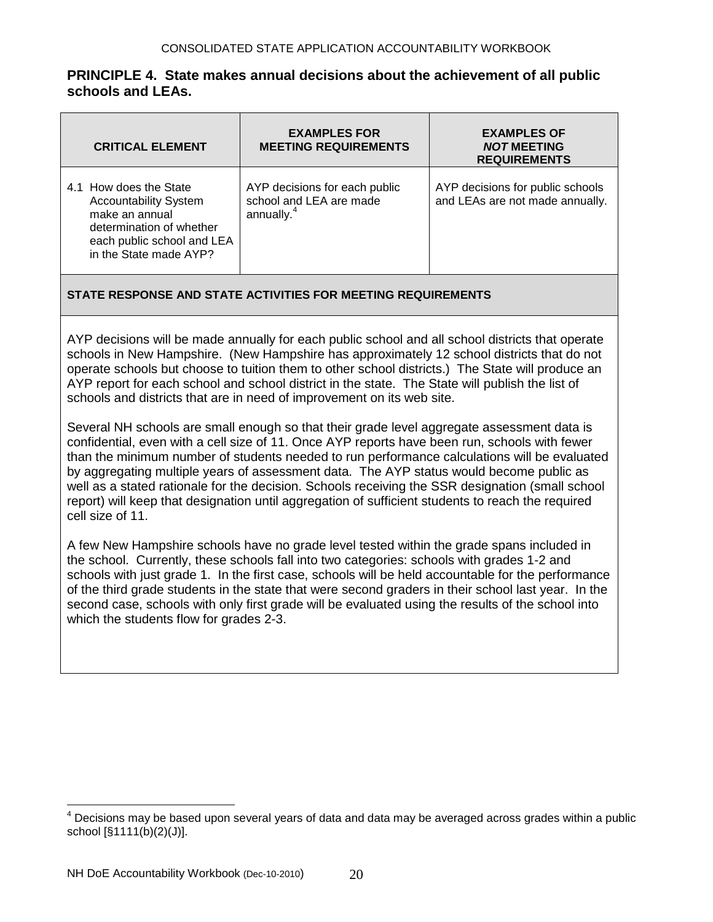## **PRINCIPLE 4. State makes annual decisions about the achievement of all public schools and LEAs.**

| <b>CRITICAL ELEMENT</b>                                                                                                                                      | <b>EXAMPLES FOR</b><br><b>MEETING REQUIREMENTS</b>                                 | <b>EXAMPLES OF</b><br><b>NOT MEETING</b><br><b>REQUIREMENTS</b>     |
|--------------------------------------------------------------------------------------------------------------------------------------------------------------|------------------------------------------------------------------------------------|---------------------------------------------------------------------|
| 4.1 How does the State<br><b>Accountability System</b><br>make an annual<br>determination of whether<br>each public school and LEA<br>in the State made AYP? | AYP decisions for each public<br>school and LEA are made<br>annually. <sup>4</sup> | AYP decisions for public schools<br>and LEAs are not made annually. |

## **STATE RESPONSE AND STATE ACTIVITIES FOR MEETING REQUIREMENTS**

AYP decisions will be made annually for each public school and all school districts that operate schools in New Hampshire. (New Hampshire has approximately 12 school districts that do not operate schools but choose to tuition them to other school districts.) The State will produce an AYP report for each school and school district in the state. The State will publish the list of schools and districts that are in need of improvement on its web site.

Several NH schools are small enough so that their grade level aggregate assessment data is confidential, even with a cell size of 11. Once AYP reports have been run, schools with fewer than the minimum number of students needed to run performance calculations will be evaluated by aggregating multiple years of assessment data. The AYP status would become public as well as a stated rationale for the decision. Schools receiving the SSR designation (small school report) will keep that designation until aggregation of sufficient students to reach the required cell size of 11.

A few New Hampshire schools have no grade level tested within the grade spans included in the school. Currently, these schools fall into two categories: schools with grades 1-2 and schools with just grade 1. In the first case, schools will be held accountable for the performance of the third grade students in the state that were second graders in their school last year. In the second case, schools with only first grade will be evaluated using the results of the school into which the students flow for grades 2-3.

 $\overline{a}$ 

Decisions may be based upon several years of data and data may be averaged across grades within a public school [§1111(b)(2)(J)].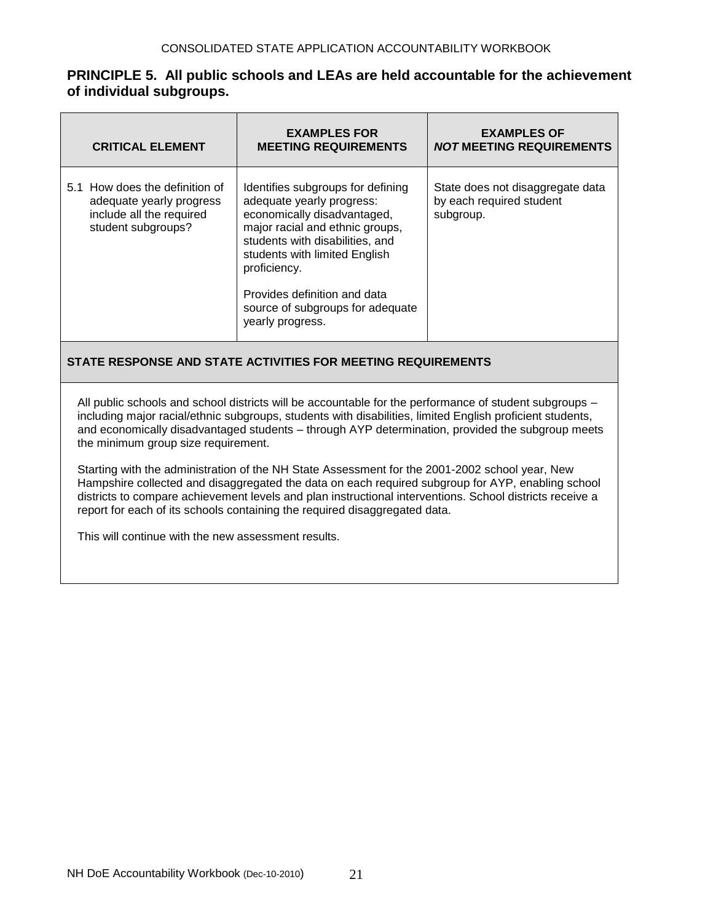## **PRINCIPLE 5. All public schools and LEAs are held accountable for the achievement of individual subgroups.**

| <b>CRITICAL ELEMENT</b>                                                                                      | <b>EXAMPLES FOR</b><br><b>MEETING REQUIREMENTS</b>                                                                                                                                                                                                                                                           | <b>EXAMPLES OF</b><br><b>NOT MEETING REQUIREMENTS</b>                     |
|--------------------------------------------------------------------------------------------------------------|--------------------------------------------------------------------------------------------------------------------------------------------------------------------------------------------------------------------------------------------------------------------------------------------------------------|---------------------------------------------------------------------------|
| 5.1 How does the definition of<br>adequate yearly progress<br>include all the required<br>student subgroups? | Identifies subgroups for defining<br>adequate yearly progress:<br>economically disadvantaged,<br>major racial and ethnic groups,<br>students with disabilities, and<br>students with limited English<br>proficiency.<br>Provides definition and data<br>source of subgroups for adequate<br>yearly progress. | State does not disaggregate data<br>by each required student<br>subgroup. |

## **STATE RESPONSE AND STATE ACTIVITIES FOR MEETING REQUIREMENTS**

All public schools and school districts will be accountable for the performance of student subgroups – including major racial/ethnic subgroups, students with disabilities, limited English proficient students, and economically disadvantaged students – through AYP determination, provided the subgroup meets the minimum group size requirement.

Starting with the administration of the NH State Assessment for the 2001-2002 school year, New Hampshire collected and disaggregated the data on each required subgroup for AYP, enabling school districts to compare achievement levels and plan instructional interventions. School districts receive a report for each of its schools containing the required disaggregated data.

This will continue with the new assessment results.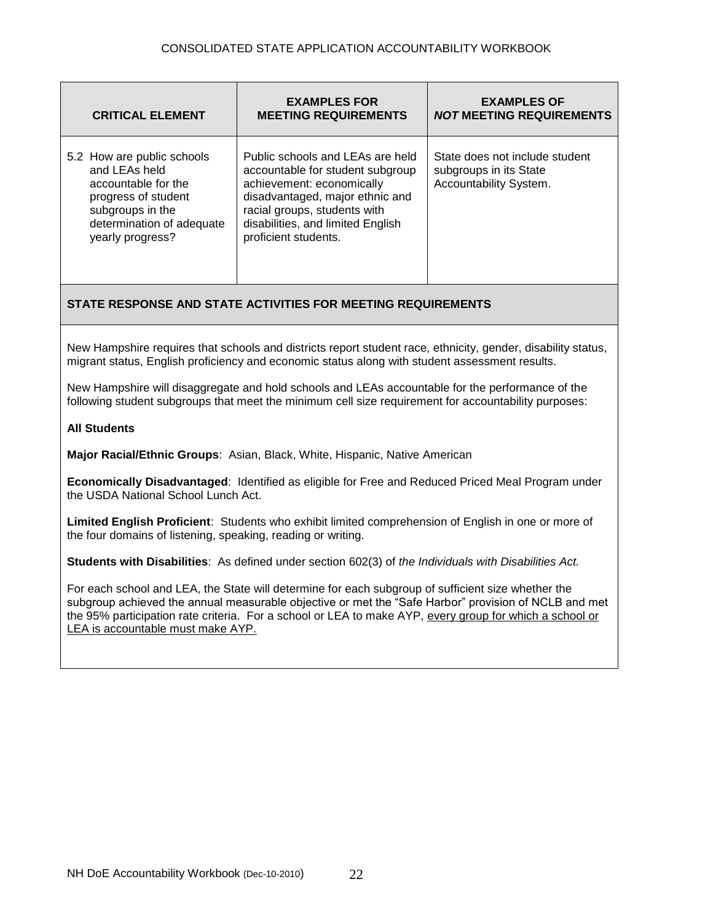| <b>CRITICAL ELEMENT</b>                                                                                                                                        | <b>EXAMPLES FOR</b><br><b>MEETING REQUIREMENTS</b>                                                                                                                                                                                | <b>EXAMPLES OF</b><br><b>NOT MEETING REQUIREMENTS</b>                              |
|----------------------------------------------------------------------------------------------------------------------------------------------------------------|-----------------------------------------------------------------------------------------------------------------------------------------------------------------------------------------------------------------------------------|------------------------------------------------------------------------------------|
| 5.2 How are public schools<br>and LEAs held<br>accountable for the<br>progress of student<br>subgroups in the<br>determination of adequate<br>yearly progress? | Public schools and LEAs are held<br>accountable for student subgroup<br>achievement: economically<br>disadvantaged, major ethnic and<br>racial groups, students with<br>disabilities, and limited English<br>proficient students. | State does not include student<br>subgroups in its State<br>Accountability System. |

New Hampshire requires that schools and districts report student race, ethnicity, gender, disability status, migrant status, English proficiency and economic status along with student assessment results.

New Hampshire will disaggregate and hold schools and LEAs accountable for the performance of the following student subgroups that meet the minimum cell size requirement for accountability purposes:

#### **All Students**

**Major Racial/Ethnic Groups**: Asian, Black, White, Hispanic, Native American

**Economically Disadvantaged**: Identified as eligible for Free and Reduced Priced Meal Program under the USDA National School Lunch Act.

**Limited English Proficient**: Students who exhibit limited comprehension of English in one or more of the four domains of listening, speaking, reading or writing.

**Students with Disabilities**: As defined under section 602(3) of *the Individuals with Disabilities Act.*

For each school and LEA, the State will determine for each subgroup of sufficient size whether the subgroup achieved the annual measurable objective or met the "Safe Harbor" provision of NCLB and met the 95% participation rate criteria. For a school or LEA to make AYP, every group for which a school or LEA is accountable must make AYP.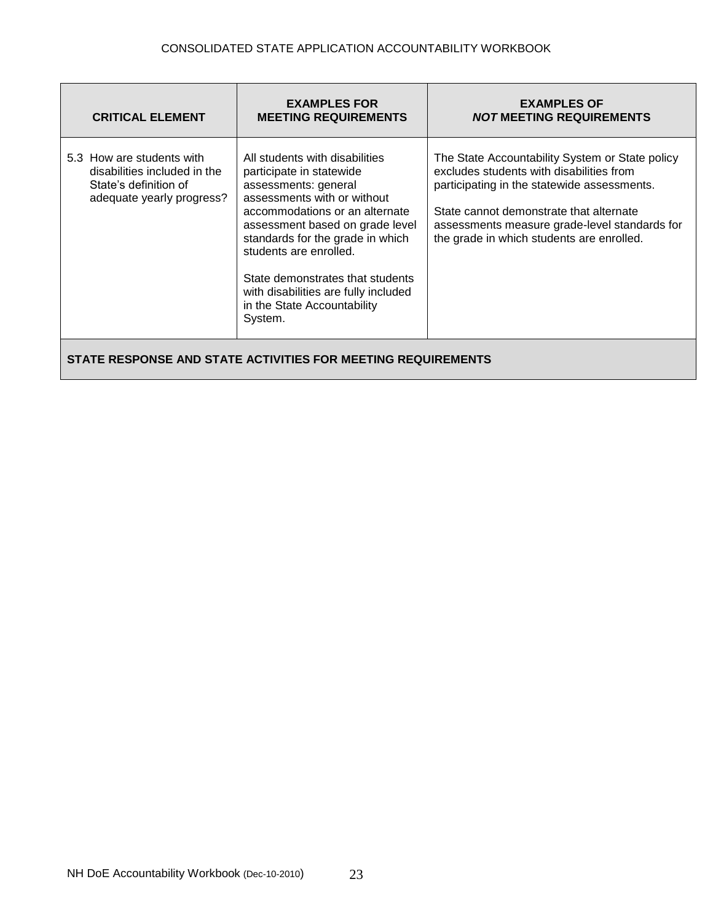| <b>CRITICAL ELEMENT</b>                                                                                         | <b>EXAMPLES FOR</b><br><b>MEETING REQUIREMENTS</b>                                                                                                                                                                                                                                                                                                                         | <b>EXAMPLES OF</b><br><b>NOT MEETING REQUIREMENTS</b>                                                                                                                                                                                                                               |
|-----------------------------------------------------------------------------------------------------------------|----------------------------------------------------------------------------------------------------------------------------------------------------------------------------------------------------------------------------------------------------------------------------------------------------------------------------------------------------------------------------|-------------------------------------------------------------------------------------------------------------------------------------------------------------------------------------------------------------------------------------------------------------------------------------|
| 5.3 How are students with<br>disabilities included in the<br>State's definition of<br>adequate yearly progress? | All students with disabilities<br>participate in statewide<br>assessments: general<br>assessments with or without<br>accommodations or an alternate<br>assessment based on grade level<br>standards for the grade in which<br>students are enrolled.<br>State demonstrates that students<br>with disabilities are fully included<br>in the State Accountability<br>System. | The State Accountability System or State policy<br>excludes students with disabilities from<br>participating in the statewide assessments.<br>State cannot demonstrate that alternate<br>assessments measure grade-level standards for<br>the grade in which students are enrolled. |
| STATE RESPONSE AND STATE ACTIVITIES FOR MEETING REQUIREMENTS                                                    |                                                                                                                                                                                                                                                                                                                                                                            |                                                                                                                                                                                                                                                                                     |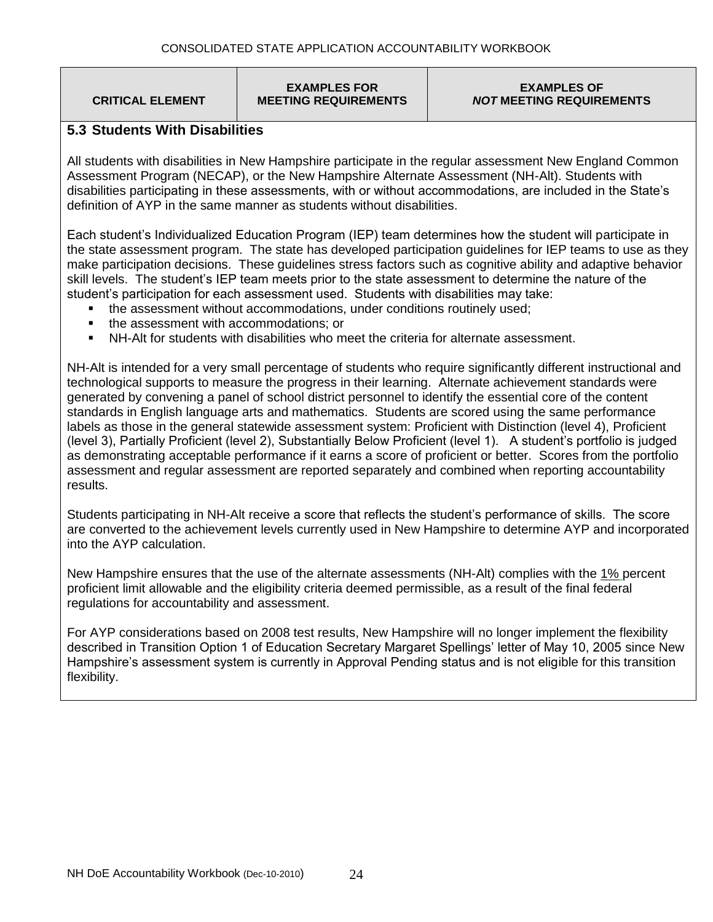**CRITICAL ELEMENT**

#### **EXAMPLES FOR MEETING REQUIREMENTS**

#### **EXAMPLES OF** *NOT* **MEETING REQUIREMENTS**

## **5.3 Students With Disabilities**

All students with disabilities in New Hampshire participate in the regular assessment New England Common Assessment Program (NECAP), or the New Hampshire Alternate Assessment (NH-Alt). Students with disabilities participating in these assessments, with or without accommodations, are included in the State's definition of AYP in the same manner as students without disabilities.

Each student's Individualized Education Program (IEP) team determines how the student will participate in the state assessment program. The state has developed participation guidelines for IEP teams to use as they make participation decisions. These guidelines stress factors such as cognitive ability and adaptive behavior skill levels. The student's IEP team meets prior to the state assessment to determine the nature of the student's participation for each assessment used. Students with disabilities may take:

- the assessment without accommodations, under conditions routinely used;
- the assessment with accommodations; or
- NH-Alt for students with disabilities who meet the criteria for alternate assessment.

NH-Alt is intended for a very small percentage of students who require significantly different instructional and technological supports to measure the progress in their learning. Alternate achievement standards were generated by convening a panel of school district personnel to identify the essential core of the content standards in English language arts and mathematics. Students are scored using the same performance labels as those in the general statewide assessment system: Proficient with Distinction (level 4), Proficient (level 3), Partially Proficient (level 2), Substantially Below Proficient (level 1). A student's portfolio is judged as demonstrating acceptable performance if it earns a score of proficient or better. Scores from the portfolio assessment and regular assessment are reported separately and combined when reporting accountability results.

Students participating in NH-Alt receive a score that reflects the student's performance of skills. The score are converted to the achievement levels currently used in New Hampshire to determine AYP and incorporated into the AYP calculation.

New Hampshire ensures that the use of the alternate assessments (NH-Alt) complies with the 1% percent proficient limit allowable and the eligibility criteria deemed permissible, as a result of the final federal regulations for accountability and assessment.

For AYP considerations based on 2008 test results, New Hampshire will no longer implement the flexibility described in Transition Option 1 of Education Secretary Margaret Spellings' letter of May 10, 2005 since New Hampshire's assessment system is currently in Approval Pending status and is not eligible for this transition flexibility.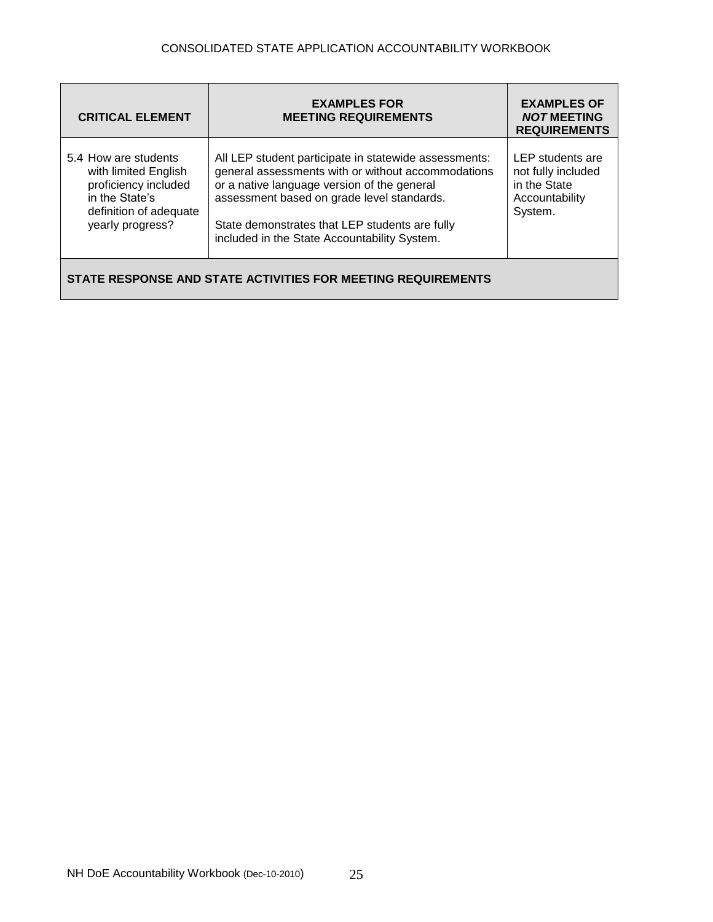| <b>CRITICAL ELEMENT</b>                                                                                                              | <b>EXAMPLES FOR</b><br><b>MEETING REQUIREMENTS</b>                                                                                                                                                                                                                                                         | <b>EXAMPLES OF</b><br><b>NOT MEETING</b><br><b>REQUIREMENTS</b>                     |
|--------------------------------------------------------------------------------------------------------------------------------------|------------------------------------------------------------------------------------------------------------------------------------------------------------------------------------------------------------------------------------------------------------------------------------------------------------|-------------------------------------------------------------------------------------|
| 5.4 How are students<br>with limited English<br>proficiency included<br>in the State's<br>definition of adequate<br>yearly progress? | All LEP student participate in statewide assessments:<br>general assessments with or without accommodations<br>or a native language version of the general<br>assessment based on grade level standards.<br>State demonstrates that LEP students are fully<br>included in the State Accountability System. | LEP students are<br>not fully included<br>in the State<br>Accountability<br>System. |
| STATE RESPONSE AND STATE ACTIVITIES FOR MEETING REQUIREMENTS                                                                         |                                                                                                                                                                                                                                                                                                            |                                                                                     |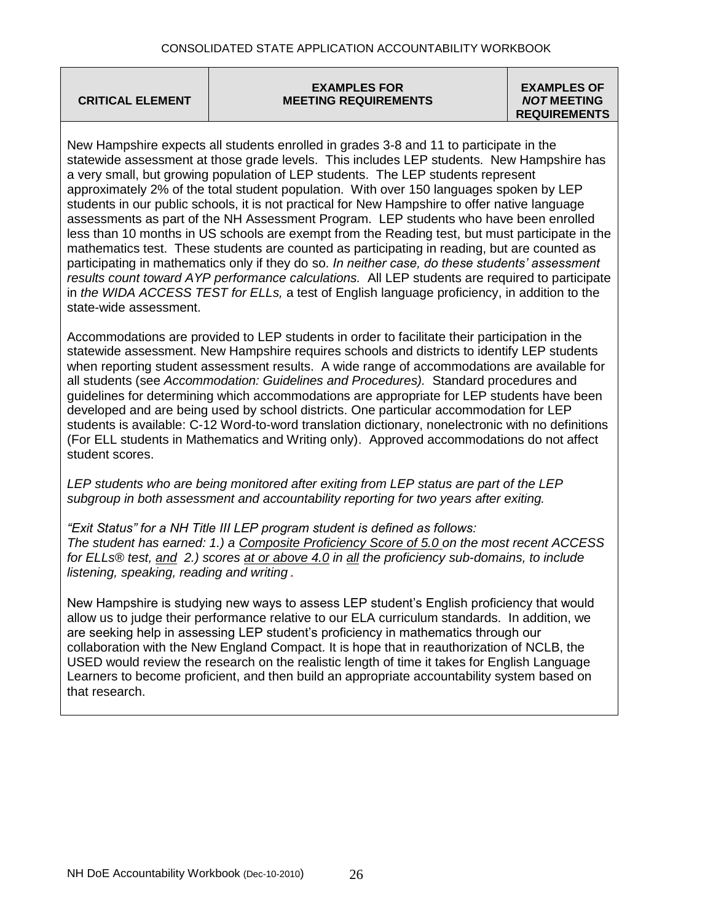**CRITICAL ELEMENT**

#### **EXAMPLES FOR MEETING REQUIREMENTS**

#### **EXAMPLES OF** *NOT* **MEETING REQUIREMENTS**

New Hampshire expects all students enrolled in grades 3-8 and 11 to participate in the statewide assessment at those grade levels. This includes LEP students. New Hampshire has a very small, but growing population of LEP students. The LEP students represent approximately 2% of the total student population. With over 150 languages spoken by LEP students in our public schools, it is not practical for New Hampshire to offer native language assessments as part of the NH Assessment Program. LEP students who have been enrolled less than 10 months in US schools are exempt from the Reading test, but must participate in the mathematics test. These students are counted as participating in reading, but are counted as participating in mathematics only if they do so. *In neither case, do these students' assessment results count toward AYP performance calculations.* All LEP students are required to participate in *the WIDA ACCESS TEST for ELLs,* a test of English language proficiency, in addition to the state-wide assessment.

Accommodations are provided to LEP students in order to facilitate their participation in the statewide assessment. New Hampshire requires schools and districts to identify LEP students when reporting student assessment results. A wide range of accommodations are available for all students (see *Accommodation: Guidelines and Procedures).* Standard procedures and guidelines for determining which accommodations are appropriate for LEP students have been developed and are being used by school districts. One particular accommodation for LEP students is available: C-12 Word-to-word translation dictionary, nonelectronic with no definitions (For ELL students in Mathematics and Writing only). Approved accommodations do not affect student scores.

*LEP students who are being monitored after exiting from LEP status are part of the LEP subgroup in both assessment and accountability reporting for two years after exiting.* 

*"Exit Status" for a NH Title III LEP program student is defined as follows: The student has earned: 1.) a Composite Proficiency Score of 5.0 on the most recent ACCESS for ELLs® test, and 2.) scores at or above 4.0 in all the proficiency sub-domains, to include listening, speaking, reading and writing.*

New Hampshire is studying new ways to assess LEP student's English proficiency that would allow us to judge their performance relative to our ELA curriculum standards. In addition, we are seeking help in assessing LEP student's proficiency in mathematics through our collaboration with the New England Compact. It is hope that in reauthorization of NCLB, the USED would review the research on the realistic length of time it takes for English Language Learners to become proficient, and then build an appropriate accountability system based on that research.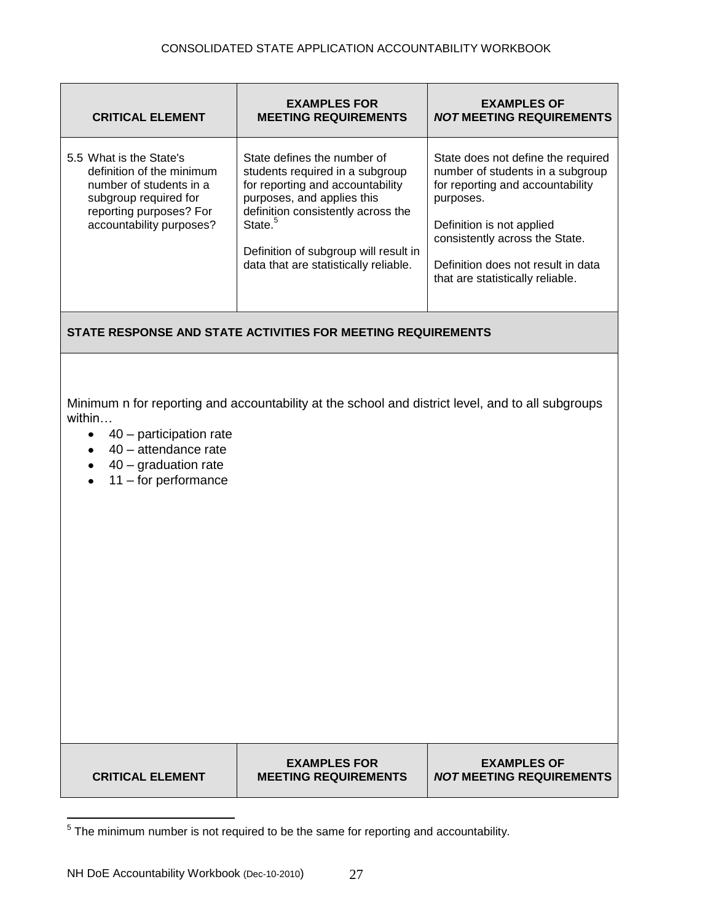| <b>CRITICAL ELEMENT</b>                                                                                                                                         | <b>EXAMPLES FOR</b><br><b>MEETING REQUIREMENTS</b>                                                                                                                                                                                                                              | <b>EXAMPLES OF</b><br><b>NOT MEETING REQUIREMENTS</b>                                                                                                                                                                                                            |
|-----------------------------------------------------------------------------------------------------------------------------------------------------------------|---------------------------------------------------------------------------------------------------------------------------------------------------------------------------------------------------------------------------------------------------------------------------------|------------------------------------------------------------------------------------------------------------------------------------------------------------------------------------------------------------------------------------------------------------------|
| 5.5 What is the State's<br>definition of the minimum<br>number of students in a<br>subgroup required for<br>reporting purposes? For<br>accountability purposes? | State defines the number of<br>students required in a subgroup<br>for reporting and accountability<br>purposes, and applies this<br>definition consistently across the<br>State. <sup>5</sup><br>Definition of subgroup will result in<br>data that are statistically reliable. | State does not define the required<br>number of students in a subgroup<br>for reporting and accountability<br>purposes.<br>Definition is not applied<br>consistently across the State.<br>Definition does not result in data<br>that are statistically reliable. |
|                                                                                                                                                                 | STATE RESPONSE AND STATE ACTIVITIES FOR MEETING REQUIREMENTS                                                                                                                                                                                                                    |                                                                                                                                                                                                                                                                  |
| within<br>40 - participation rate<br>$\bullet$<br>40 - attendance rate<br>$\bullet$<br>$40$ – graduation rate<br>$\bullet$<br>$11 -$ for performance            | Minimum n for reporting and accountability at the school and district level, and to all subgroups                                                                                                                                                                               |                                                                                                                                                                                                                                                                  |

**CRITICAL ELEMENT**

**EXAMPLES FOR MEETING REQUIREMENTS**

**EXAMPLES OF** *NOT* **MEETING REQUIREMENTS**

 5 The minimum number is not required to be the same for reporting and accountability.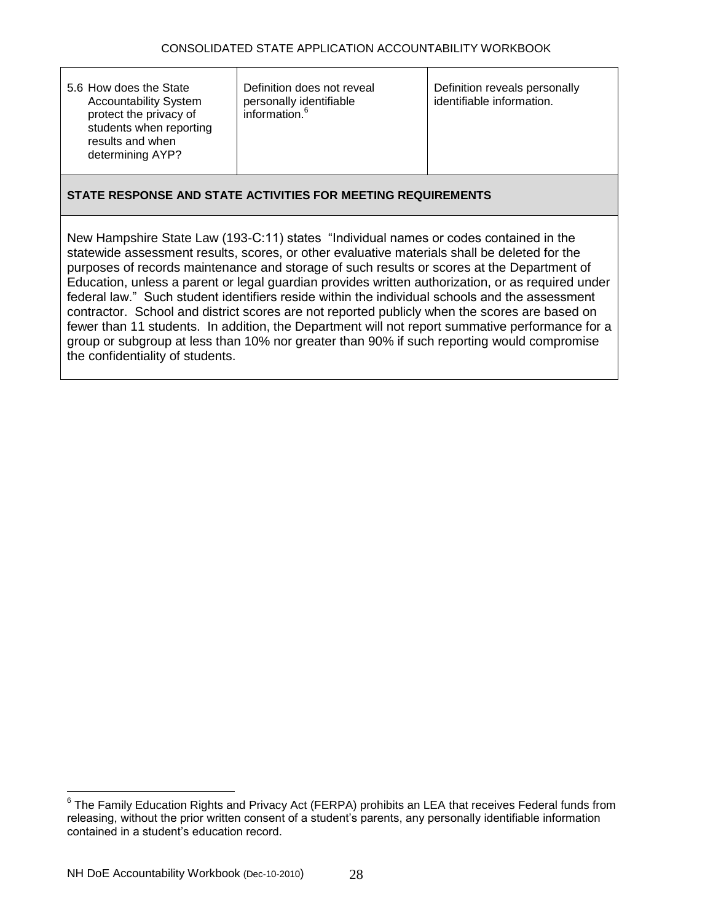| Definition reveals personally<br>5.6 How does the State<br>Definition does not reveal<br><b>Accountability System</b><br>personally identifiable<br>information. <sup>o</sup><br>protect the privacy of<br>students when reporting<br>results and when<br>determining AYP? | identifiable information. |
|----------------------------------------------------------------------------------------------------------------------------------------------------------------------------------------------------------------------------------------------------------------------------|---------------------------|
|----------------------------------------------------------------------------------------------------------------------------------------------------------------------------------------------------------------------------------------------------------------------------|---------------------------|

New Hampshire State Law (193-C:11) states "Individual names or codes contained in the statewide assessment results, scores, or other evaluative materials shall be deleted for the purposes of records maintenance and storage of such results or scores at the Department of Education, unless a parent or legal guardian provides written authorization, or as required under federal law." Such student identifiers reside within the individual schools and the assessment contractor. School and district scores are not reported publicly when the scores are based on fewer than 11 students. In addition, the Department will not report summative performance for a group or subgroup at less than 10% nor greater than 90% if such reporting would compromise the confidentiality of students.

 $\overline{a}$ 

 $^6$  The Family Education Rights and Privacy Act (FERPA) prohibits an LEA that receives Federal funds from releasing, without the prior written consent of a student's parents, any personally identifiable information contained in a student's education record.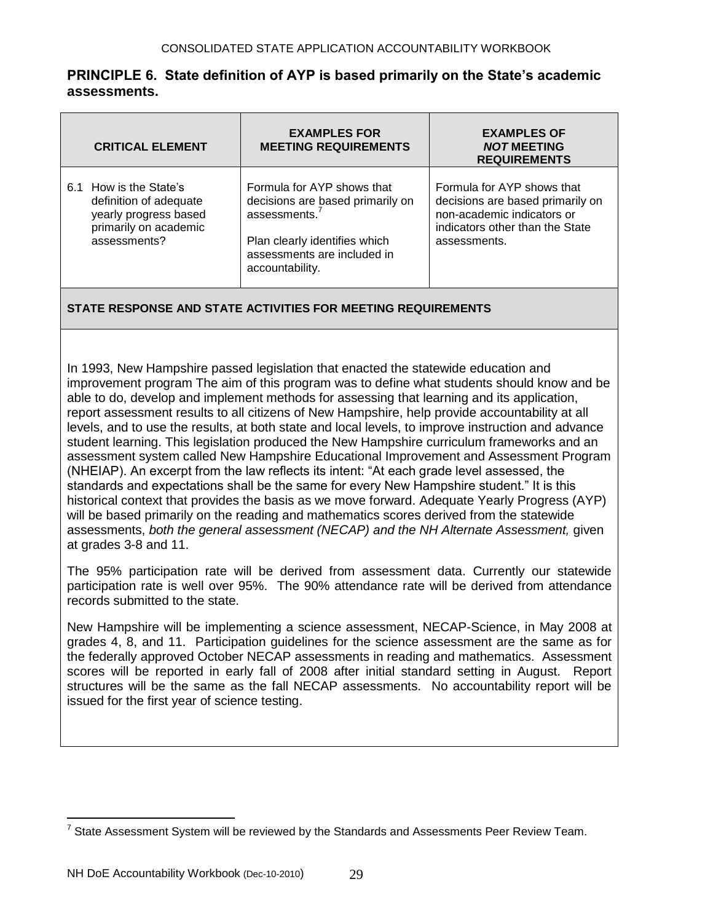## **PRINCIPLE 6. State definition of AYP is based primarily on the State's academic assessments.**

| <b>CRITICAL ELEMENT</b> | <b>EXAMPLES FOR</b><br><b>MEETING REQUIREMENTS</b>            | <b>EXAMPLES OF</b><br><b>NOT MEETING</b><br><b>REQUIREMENTS</b> |
|-------------------------|---------------------------------------------------------------|-----------------------------------------------------------------|
| 6.1 How is the State's  | Formula for AYP shows that                                    | Formula for AYP shows that                                      |
| definition of adequate  | decisions are based primarily on<br>assessments. <sup>7</sup> | decisions are based primarily on                                |
| yearly progress based   | Plan clearly identifies which                                 | non-academic indicators or                                      |
| primarily on academic   | assessments are included in                                   | indicators other than the State                                 |
| assessments?            | accountability.                                               | assessments.                                                    |

## **STATE RESPONSE AND STATE ACTIVITIES FOR MEETING REQUIREMENTS**

In 1993, New Hampshire passed legislation that enacted the statewide education and improvement program The aim of this program was to define what students should know and be able to do, develop and implement methods for assessing that learning and its application, report assessment results to all citizens of New Hampshire, help provide accountability at all levels, and to use the results, at both state and local levels, to improve instruction and advance student learning. This legislation produced the New Hampshire curriculum frameworks and an assessment system called New Hampshire Educational Improvement and Assessment Program (NHEIAP). An excerpt from the law reflects its intent: "At each grade level assessed, the standards and expectations shall be the same for every New Hampshire student." It is this historical context that provides the basis as we move forward. Adequate Yearly Progress (AYP) will be based primarily on the reading and mathematics scores derived from the statewide assessments, *both the general assessment (NECAP) and the NH Alternate Assessment,* given at grades 3-8 and 11.

The 95% participation rate will be derived from assessment data. Currently our statewide participation rate is well over 95%. The 90% attendance rate will be derived from attendance records submitted to the state.

New Hampshire will be implementing a science assessment, NECAP-Science, in May 2008 at grades 4, 8, and 11. Participation guidelines for the science assessment are the same as for the federally approved October NECAP assessments in reading and mathematics. Assessment scores will be reported in early fall of 2008 after initial standard setting in August. Report structures will be the same as the fall NECAP assessments. No accountability report will be issued for the first year of science testing.

<sup>————————————————————&</sup>lt;br><sup>7</sup> State Assessment System will be reviewed by the Standards and Assessments Peer Review Team.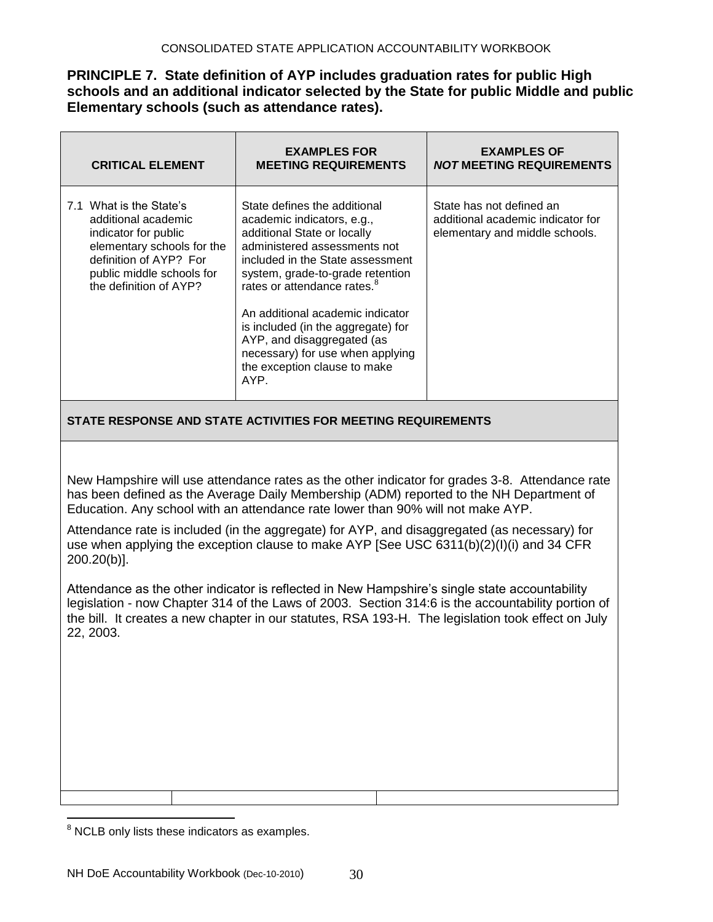## **PRINCIPLE 7. State definition of AYP includes graduation rates for public High schools and an additional indicator selected by the State for public Middle and public Elementary schools (such as attendance rates).**

| <b>CRITICAL ELEMENT</b>                                                                                                                                                               | <b>EXAMPLES FOR</b><br><b>MEETING REQUIREMENTS</b>                                                                                                                                                                                                                                                                                                                                                                               | <b>EXAMPLES OF</b><br><b>NOT MEETING REQUIREMENTS</b>                                           |
|---------------------------------------------------------------------------------------------------------------------------------------------------------------------------------------|----------------------------------------------------------------------------------------------------------------------------------------------------------------------------------------------------------------------------------------------------------------------------------------------------------------------------------------------------------------------------------------------------------------------------------|-------------------------------------------------------------------------------------------------|
| 7.1 What is the State's<br>additional academic<br>indicator for public<br>elementary schools for the<br>definition of AYP? For<br>public middle schools for<br>the definition of AYP? | State defines the additional<br>academic indicators, e.g.,<br>additional State or locally<br>administered assessments not<br>included in the State assessment<br>system, grade-to-grade retention<br>rates or attendance rates. <sup>8</sup><br>An additional academic indicator<br>is included (in the aggregate) for<br>AYP, and disaggregated (as<br>necessary) for use when applying<br>the exception clause to make<br>AYP. | State has not defined an<br>additional academic indicator for<br>elementary and middle schools. |

## **STATE RESPONSE AND STATE ACTIVITIES FOR MEETING REQUIREMENTS**

New Hampshire will use attendance rates as the other indicator for grades 3-8. Attendance rate has been defined as the Average Daily Membership (ADM) reported to the NH Department of Education. Any school with an attendance rate lower than 90% will not make AYP.

Attendance rate is included (in the aggregate) for AYP, and disaggregated (as necessary) for use when applying the exception clause to make AYP [See USC 6311(b)(2)(I)(i) and 34 CFR 200.20(b)].

Attendance as the other indicator is reflected in New Hampshire's single state accountability legislation - now Chapter 314 of the Laws of 2003. Section 314:6 is the accountability portion of the bill. It creates a new chapter in our statutes, RSA 193-H. The legislation took effect on July 22, 2003.

 $\overline{a}$  $8$  NCLB only lists these indicators as examples.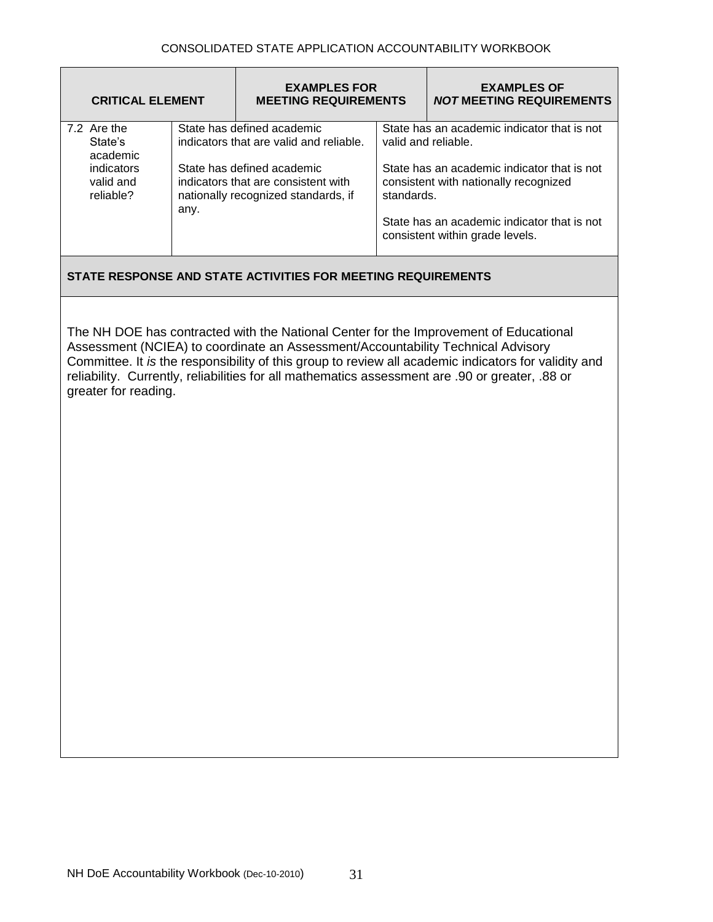| <b>CRITICAL ELEMENT</b>                                                    |      | <b>EXAMPLES FOR</b><br><b>MEETING REQUIREMENTS</b>                                                                                                                                |            | <b>EXAMPLES OF</b><br><b>NOT MEETING REQUIREMENTS</b>                                                                                                                                                                                                                                            |
|----------------------------------------------------------------------------|------|-----------------------------------------------------------------------------------------------------------------------------------------------------------------------------------|------------|--------------------------------------------------------------------------------------------------------------------------------------------------------------------------------------------------------------------------------------------------------------------------------------------------|
| 7.2 Are the<br>State's<br>academic<br>indicators<br>valid and<br>reliable? | any. | State has defined academic<br>indicators that are valid and reliable.<br>State has defined academic<br>indicators that are consistent with<br>nationally recognized standards, if | standards. | State has an academic indicator that is not<br>valid and reliable.<br>State has an academic indicator that is not<br>consistent with nationally recognized<br>State has an academic indicator that is not<br>consistent within grade levels.                                                     |
|                                                                            |      | STATE RESPONSE AND STATE ACTIVITIES FOR MEETING REQUIREMENTS                                                                                                                      |            |                                                                                                                                                                                                                                                                                                  |
| greater for reading.                                                       |      | Assessment (NCIEA) to coordinate an Assessment/Accountability Technical Advisory                                                                                                  |            | The NH DOE has contracted with the National Center for the Improvement of Educational<br>Committee. It is the responsibility of this group to review all academic indicators for validity and<br>reliability. Currently, reliabilities for all mathematics assessment are .90 or greater, .88 or |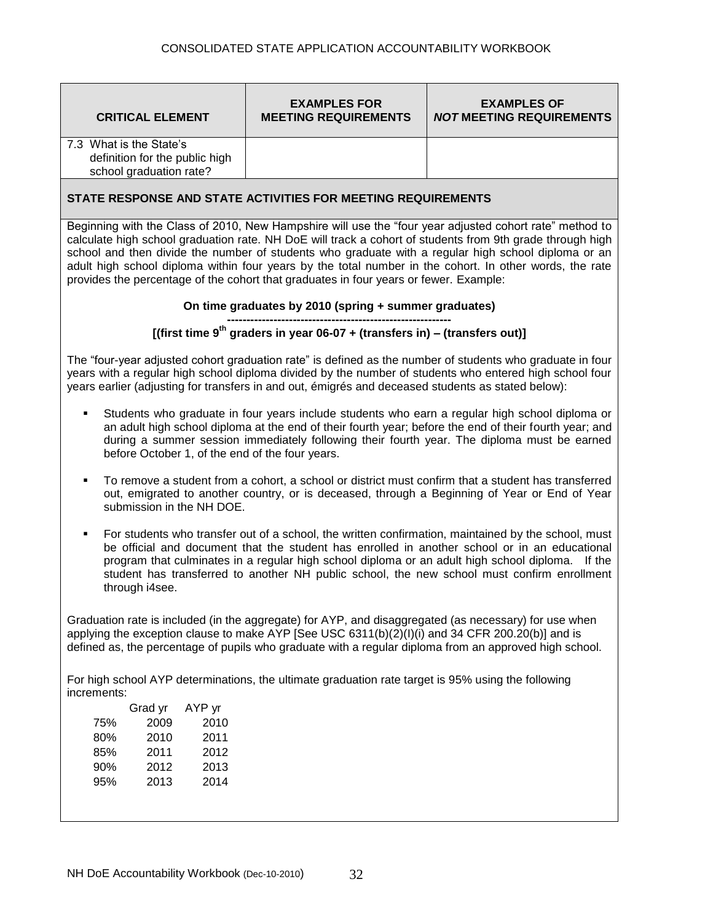| <b>CRITICAL ELEMENT</b>                                                              | <b>EXAMPLES FOR</b><br><b>MEETING REQUIREMENTS</b> | <b>EXAMPLES OF</b><br><b>NOT MEETING REQUIREMENTS</b> |
|--------------------------------------------------------------------------------------|----------------------------------------------------|-------------------------------------------------------|
| 7.3 What is the State's<br>definition for the public high<br>school graduation rate? |                                                    |                                                       |
| <b>CTATE DECOONICE AND CTATE ACTIVITIES EOD MEETING DEQUIDEMENTS</b>                 |                                                    |                                                       |

Beginning with the Class of 2010, New Hampshire will use the "four year adjusted cohort rate" method to calculate high school graduation rate. NH DoE will track a cohort of students from 9th grade through high school and then divide the number of students who graduate with a regular high school diploma or an adult high school diploma within four years by the total number in the cohort. In other words, the rate provides the percentage of the cohort that graduates in four years or fewer. Example:

#### **On time graduates by 2010 (spring + summer graduates)**

#### **---------------------------------------------------------- [(first time 9th graders in year 06-07 + (transfers in) – (transfers out)]**

The "four-year adjusted cohort graduation rate" is defined as the number of students who graduate in four years with a regular high school diploma divided by the number of students who entered high school four years earlier (adjusting for transfers in and out, émigrés and deceased students as stated below):

- Students who graduate in four years include students who earn a regular high school diploma or an adult high school diploma at the end of their fourth year; before the end of their fourth year; and during a summer session immediately following their fourth year. The diploma must be earned before October 1, of the end of the four years.
- To remove a student from a cohort, a school or district must confirm that a student has transferred out, emigrated to another country, or is deceased, through a Beginning of Year or End of Year submission in the NH DOE.
- For students who transfer out of a school, the written confirmation, maintained by the school, must be official and document that the student has enrolled in another school or in an educational program that culminates in a regular high school diploma or an adult high school diploma. If the student has transferred to another NH public school, the new school must confirm enrollment through i4see.

Graduation rate is included (in the aggregate) for AYP, and disaggregated (as necessary) for use when applying the exception clause to make AYP [See USC 6311(b)( $2)(1)(i)$  and 34 CFR 200.20(b)] and is defined as, the percentage of pupils who graduate with a regular diploma from an approved high school.

For high school AYP determinations, the ultimate graduation rate target is 95% using the following increments:

|     | Grad yr | AYP yr |
|-----|---------|--------|
| 75% | 2009    | 2010   |
| 80% | 2010    | 2011   |
| 85% | 2011    | 2012   |
| 90% | 2012    | 2013   |
| 95% | 2013    | 2014   |
|     |         |        |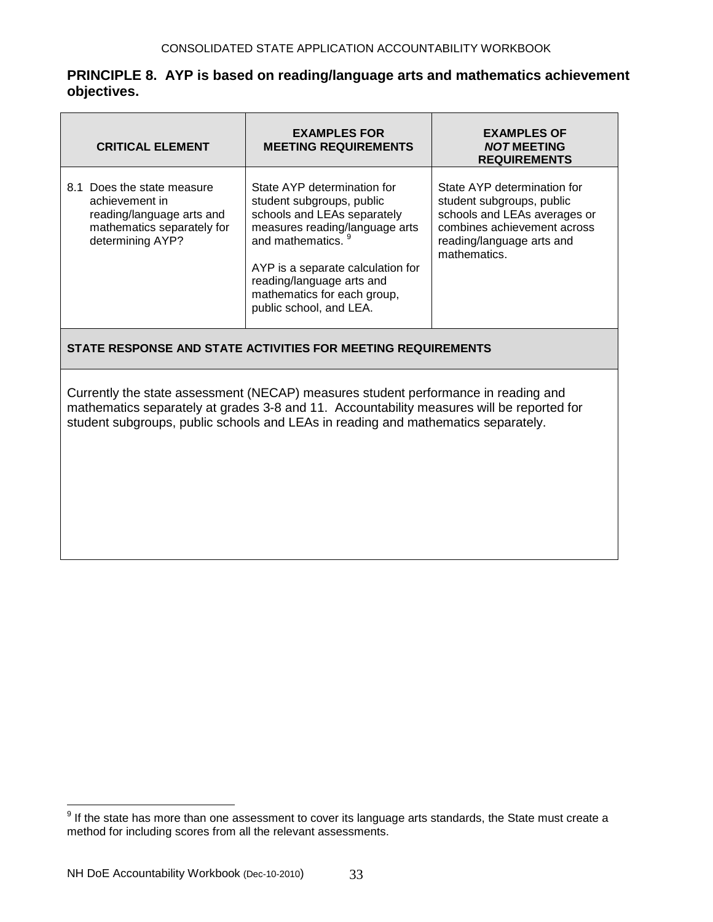## **PRINCIPLE 8. AYP is based on reading/language arts and mathematics achievement objectives.**

| <b>CRITICAL ELEMENT</b>                                                                                                     | <b>EXAMPLES FOR</b><br><b>MEETING REQUIREMENTS</b>                                                                                                                                                                                                                        | <b>EXAMPLES OF</b><br><b>NOT MEETING</b><br><b>REQUIREMENTS</b>                                                                                                      |
|-----------------------------------------------------------------------------------------------------------------------------|---------------------------------------------------------------------------------------------------------------------------------------------------------------------------------------------------------------------------------------------------------------------------|----------------------------------------------------------------------------------------------------------------------------------------------------------------------|
| 8.1 Does the state measure<br>achievement in<br>reading/language arts and<br>mathematics separately for<br>determining AYP? | State AYP determination for<br>student subgroups, public<br>schools and LEAs separately<br>measures reading/language arts<br>and mathematics.<br>AYP is a separate calculation for<br>reading/language arts and<br>mathematics for each group,<br>public school, and LEA. | State AYP determination for<br>student subgroups, public<br>schools and LEAs averages or<br>combines achievement across<br>reading/language arts and<br>mathematics. |

## **STATE RESPONSE AND STATE ACTIVITIES FOR MEETING REQUIREMENTS**

Currently the state assessment (NECAP) measures student performance in reading and mathematics separately at grades 3-8 and 11. Accountability measures will be reported for student subgroups, public schools and LEAs in reading and mathematics separately.

 9 If the state has more than one assessment to cover its language arts standards, the State must create a method for including scores from all the relevant assessments.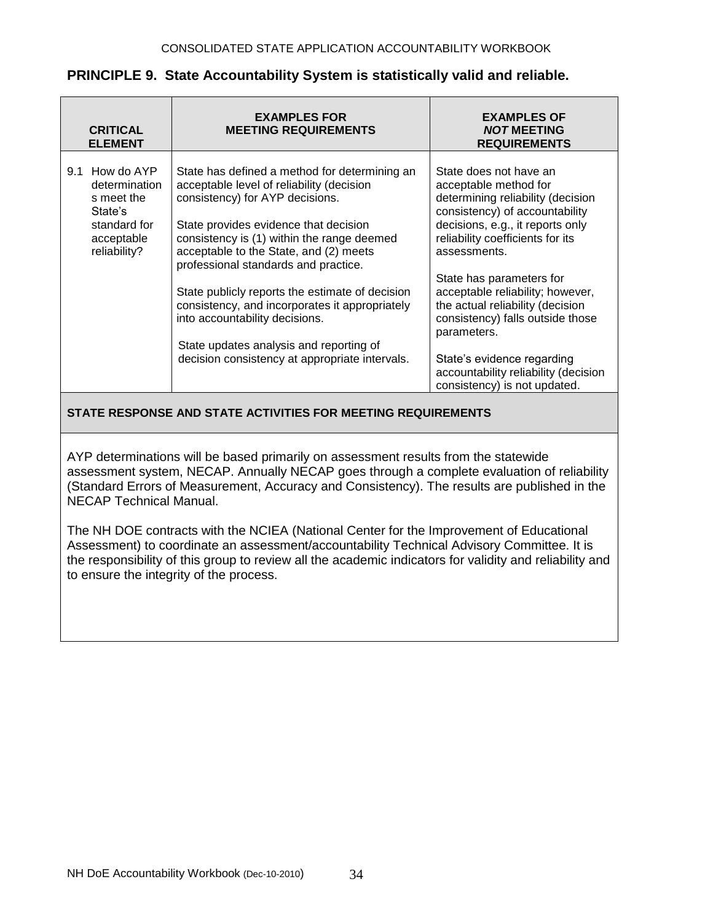|     | <b>CRITICAL</b><br><b>ELEMENT</b>                                                                  | <b>EXAMPLES FOR</b><br><b>MEETING REQUIREMENTS</b>                                                                                                                                                                                                                                                     | <b>EXAMPLES OF</b><br><b>NOT MEETING</b><br><b>REQUIREMENTS</b>                                                                                                                                                                                           |
|-----|----------------------------------------------------------------------------------------------------|--------------------------------------------------------------------------------------------------------------------------------------------------------------------------------------------------------------------------------------------------------------------------------------------------------|-----------------------------------------------------------------------------------------------------------------------------------------------------------------------------------------------------------------------------------------------------------|
| 9.1 | How do AYP<br>determination<br>s meet the<br>State's<br>standard for<br>acceptable<br>reliability? | State has defined a method for determining an<br>acceptable level of reliability (decision<br>consistency) for AYP decisions.<br>State provides evidence that decision<br>consistency is (1) within the range deemed<br>acceptable to the State, and (2) meets<br>professional standards and practice. | State does not have an<br>acceptable method for<br>determining reliability (decision<br>consistency) of accountability<br>decisions, e.g., it reports only<br>reliability coefficients for its<br>assessments.                                            |
|     |                                                                                                    | State publicly reports the estimate of decision<br>consistency, and incorporates it appropriately<br>into accountability decisions.<br>State updates analysis and reporting of<br>decision consistency at appropriate intervals.                                                                       | State has parameters for<br>acceptable reliability; however,<br>the actual reliability (decision<br>consistency) falls outside those<br>parameters.<br>State's evidence regarding<br>accountability reliability (decision<br>consistency) is not updated. |

## **PRINCIPLE 9. State Accountability System is statistically valid and reliable.**

## **STATE RESPONSE AND STATE ACTIVITIES FOR MEETING REQUIREMENTS**

AYP determinations will be based primarily on assessment results from the statewide assessment system, NECAP. Annually NECAP goes through a complete evaluation of reliability (Standard Errors of Measurement, Accuracy and Consistency). The results are published in the NECAP Technical Manual.

The NH DOE contracts with the NCIEA (National Center for the Improvement of Educational Assessment) to coordinate an assessment/accountability Technical Advisory Committee. It is the responsibility of this group to review all the academic indicators for validity and reliability and to ensure the integrity of the process.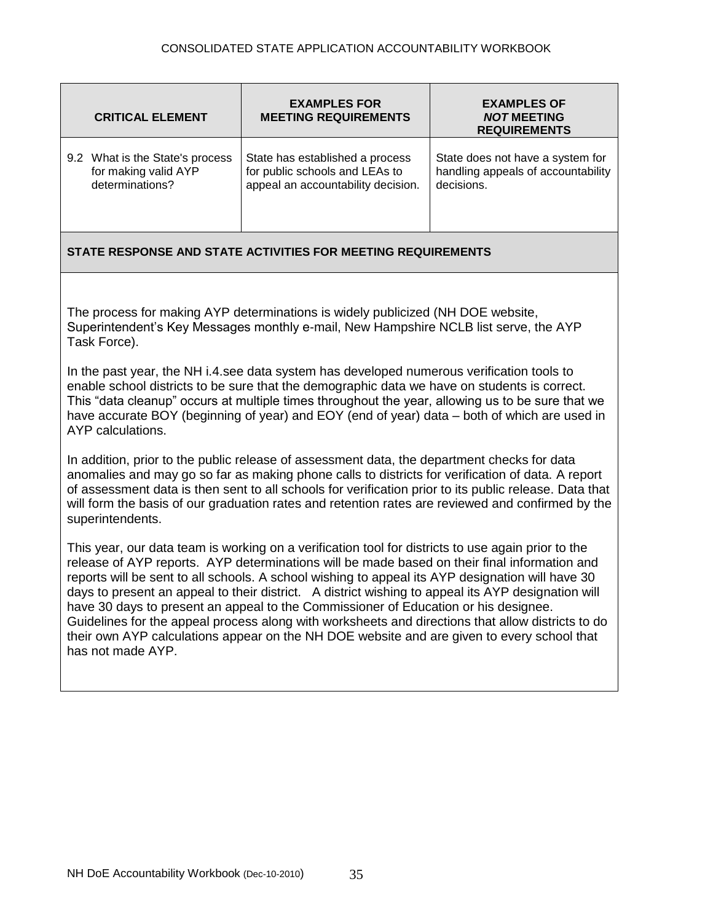| <b>CRITICAL ELEMENT</b>         | <b>EXAMPLES FOR</b><br><b>MEETING REQUIREMENTS</b> | <b>EXAMPLES OF</b><br><b>NOT MEETING</b><br><b>REQUIREMENTS</b> |
|---------------------------------|----------------------------------------------------|-----------------------------------------------------------------|
| 9.2 What is the State's process | State has established a process                    | State does not have a system for                                |
| for making valid AYP            | for public schools and LEAs to                     | handling appeals of accountability                              |
| determinations?                 | appeal an accountability decision.                 | decisions.                                                      |

The process for making AYP determinations is widely publicized (NH DOE website, Superintendent's Key Messages monthly e-mail, New Hampshire NCLB list serve, the AYP Task Force).

In the past year, the NH i.4.see data system has developed numerous verification tools to enable school districts to be sure that the demographic data we have on students is correct. This "data cleanup" occurs at multiple times throughout the year, allowing us to be sure that we have accurate BOY (beginning of year) and EOY (end of year) data – both of which are used in AYP calculations.

In addition, prior to the public release of assessment data, the department checks for data anomalies and may go so far as making phone calls to districts for verification of data. A report of assessment data is then sent to all schools for verification prior to its public release. Data that will form the basis of our graduation rates and retention rates are reviewed and confirmed by the superintendents.

This year, our data team is working on a verification tool for districts to use again prior to the release of AYP reports. AYP determinations will be made based on their final information and reports will be sent to all schools. A school wishing to appeal its AYP designation will have 30 days to present an appeal to their district. A district wishing to appeal its AYP designation will have 30 days to present an appeal to the Commissioner of Education or his designee. Guidelines for the appeal process along with worksheets and directions that allow districts to do their own AYP calculations appear on the NH DOE website and are given to every school that has not made AYP.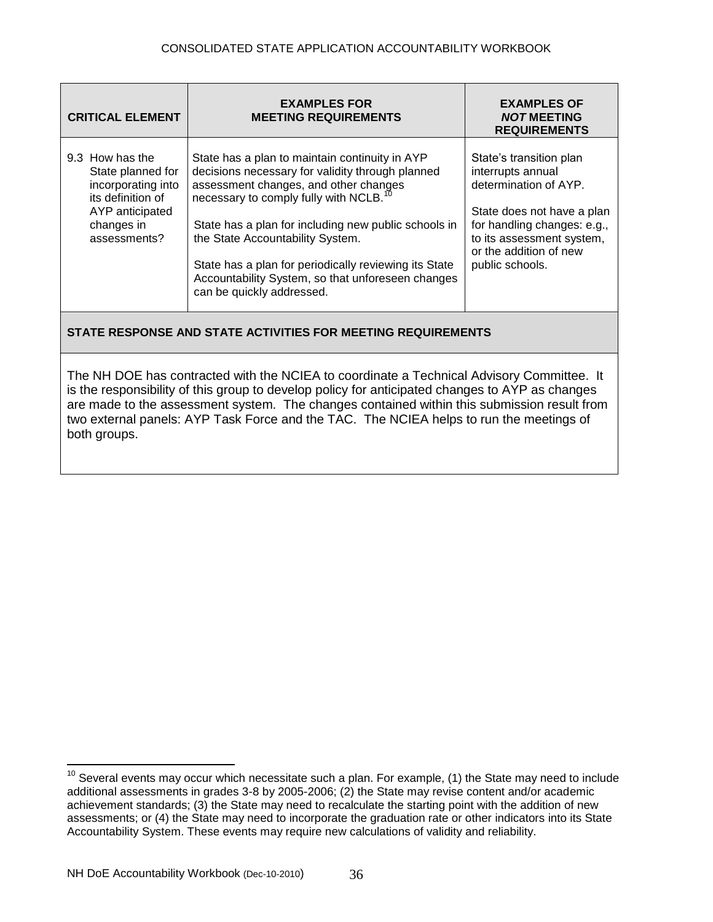| <b>CRITICAL ELEMENT</b>                                                                                                          | <b>EXAMPLES FOR</b><br><b>MEETING REQUIREMENTS</b>                                                                                                                                                                                                                                                                                                                                                                                       | <b>EXAMPLES OF</b><br><b>NOT MEETING</b><br><b>REQUIREMENTS</b>                                                                                                                                              |
|----------------------------------------------------------------------------------------------------------------------------------|------------------------------------------------------------------------------------------------------------------------------------------------------------------------------------------------------------------------------------------------------------------------------------------------------------------------------------------------------------------------------------------------------------------------------------------|--------------------------------------------------------------------------------------------------------------------------------------------------------------------------------------------------------------|
| 9.3 How has the<br>State planned for<br>incorporating into<br>its definition of<br>AYP anticipated<br>changes in<br>assessments? | State has a plan to maintain continuity in AYP<br>decisions necessary for validity through planned<br>assessment changes, and other changes<br>necessary to comply fully with NCLB. <sup>10</sup><br>State has a plan for including new public schools in<br>the State Accountability System.<br>State has a plan for periodically reviewing its State<br>Accountability System, so that unforeseen changes<br>can be quickly addressed. | State's transition plan<br>interrupts annual<br>determination of AYP.<br>State does not have a plan<br>for handling changes: e.g.,<br>to its assessment system,<br>or the addition of new<br>public schools. |

The NH DOE has contracted with the NCIEA to coordinate a Technical Advisory Committee. It is the responsibility of this group to develop policy for anticipated changes to AYP as changes are made to the assessment system. The changes contained within this submission result from two external panels: AYP Task Force and the TAC. The NCIEA helps to run the meetings of both groups.

 $\overline{a}$ 

 $10$  Several events may occur which necessitate such a plan. For example, (1) the State may need to include additional assessments in grades 3-8 by 2005-2006; (2) the State may revise content and/or academic achievement standards; (3) the State may need to recalculate the starting point with the addition of new assessments; or (4) the State may need to incorporate the graduation rate or other indicators into its State Accountability System. These events may require new calculations of validity and reliability.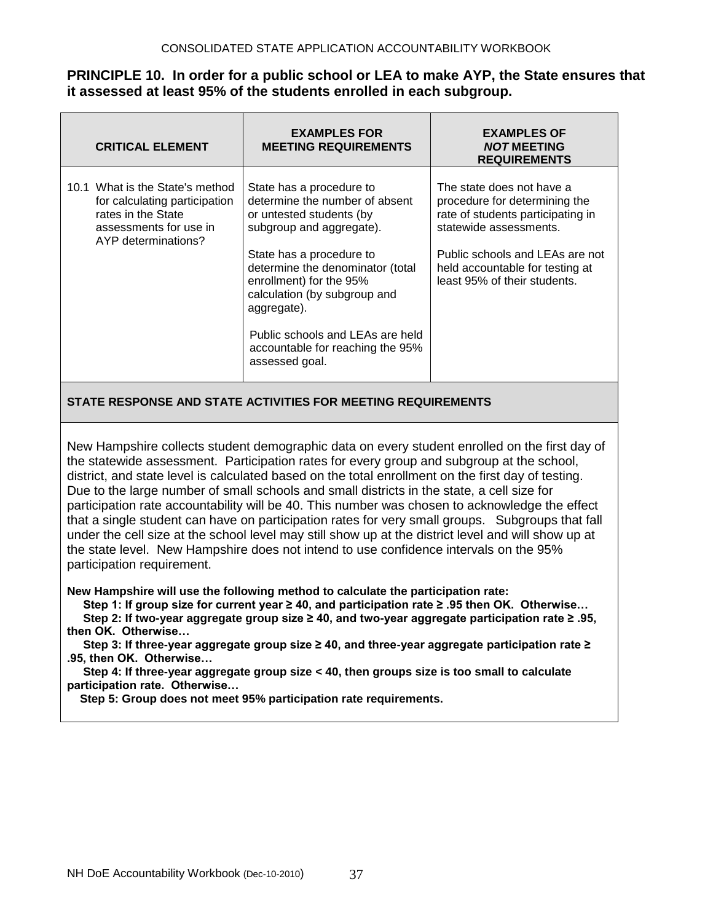## **PRINCIPLE 10. In order for a public school or LEA to make AYP, the State ensures that it assessed at least 95% of the students enrolled in each subgroup.**

| <b>CRITICAL ELEMENT</b>                                                                                                                 | <b>EXAMPLES FOR</b><br><b>MEETING REQUIREMENTS</b>                                                                                                                                                                                                                                                                                                     | <b>EXAMPLES OF</b><br><b>NOT MEETING</b><br><b>REQUIREMENTS</b>                                                                                                                                                                 |
|-----------------------------------------------------------------------------------------------------------------------------------------|--------------------------------------------------------------------------------------------------------------------------------------------------------------------------------------------------------------------------------------------------------------------------------------------------------------------------------------------------------|---------------------------------------------------------------------------------------------------------------------------------------------------------------------------------------------------------------------------------|
| 10.1 What is the State's method<br>for calculating participation<br>rates in the State<br>assessments for use in<br>AYP determinations? | State has a procedure to<br>determine the number of absent<br>or untested students (by<br>subgroup and aggregate).<br>State has a procedure to<br>determine the denominator (total<br>enrollment) for the 95%<br>calculation (by subgroup and<br>aggregate).<br>Public schools and LEAs are held<br>accountable for reaching the 95%<br>assessed goal. | The state does not have a<br>procedure for determining the<br>rate of students participating in<br>statewide assessments.<br>Public schools and LEAs are not<br>held accountable for testing at<br>least 95% of their students. |

## **STATE RESPONSE AND STATE ACTIVITIES FOR MEETING REQUIREMENTS**

New Hampshire collects student demographic data on every student enrolled on the first day of the statewide assessment. Participation rates for every group and subgroup at the school, district, and state level is calculated based on the total enrollment on the first day of testing. Due to the large number of small schools and small districts in the state, a cell size for participation rate accountability will be 40. This number was chosen to acknowledge the effect that a single student can have on participation rates for very small groups. Subgroups that fall under the cell size at the school level may still show up at the district level and will show up at the state level. New Hampshire does not intend to use confidence intervals on the 95% participation requirement.

**New Hampshire will use the following method to calculate the participation rate:**

 **Step 1: If group size for current year ≥ 40, and participation rate ≥ .95 then OK. Otherwise…**

 **Step 2: If two-year aggregate group size ≥ 40, and two-year aggregate participation rate ≥ .95, then OK. Otherwise…**

 **Step 3: If three-year aggregate group size ≥ 40, and three-year aggregate participation rate ≥ .95, then OK. Otherwise…**

 **Step 4: If three-year aggregate group size < 40, then groups size is too small to calculate participation rate. Otherwise…**

 **Step 5: Group does not meet 95% participation rate requirements.**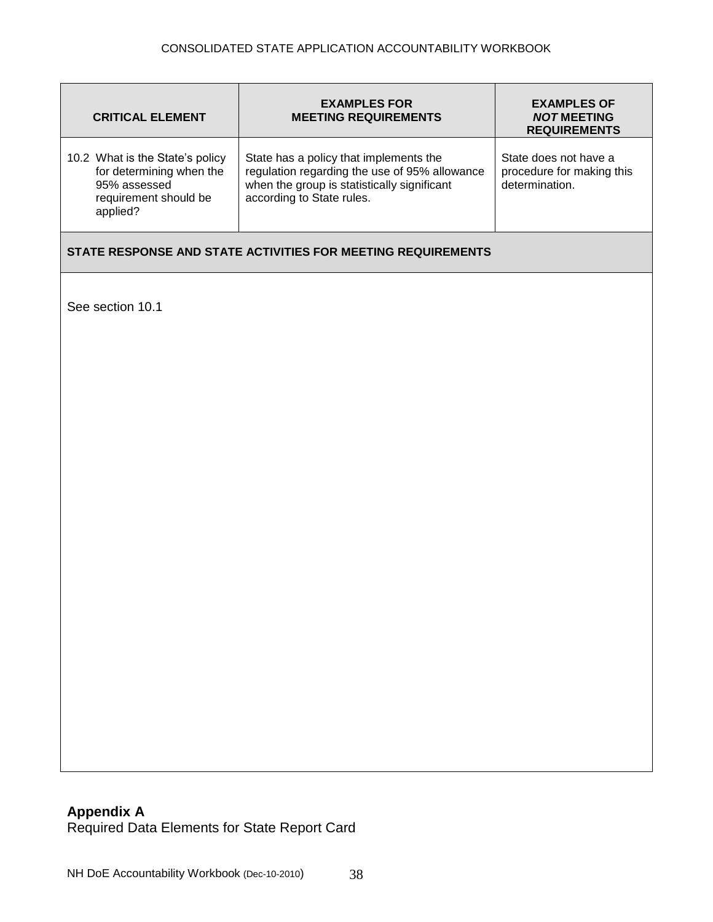| <b>CRITICAL ELEMENT</b>                                                                                          | <b>EXAMPLES FOR</b><br><b>MEETING REQUIREMENTS</b>                                                                                                                  | <b>EXAMPLES OF</b><br><b>NOT MEETING</b><br><b>REQUIREMENTS</b>      |  |
|------------------------------------------------------------------------------------------------------------------|---------------------------------------------------------------------------------------------------------------------------------------------------------------------|----------------------------------------------------------------------|--|
| 10.2 What is the State's policy<br>for determining when the<br>95% assessed<br>requirement should be<br>applied? | State has a policy that implements the<br>regulation regarding the use of 95% allowance<br>when the group is statistically significant<br>according to State rules. | State does not have a<br>procedure for making this<br>determination. |  |
| STATE RESPONSE AND STATE ACTIVITIES FOR MEETING REQUIREMENTS                                                     |                                                                                                                                                                     |                                                                      |  |
| See section 10.1                                                                                                 |                                                                                                                                                                     |                                                                      |  |
|                                                                                                                  |                                                                                                                                                                     |                                                                      |  |
|                                                                                                                  |                                                                                                                                                                     |                                                                      |  |
|                                                                                                                  |                                                                                                                                                                     |                                                                      |  |
|                                                                                                                  |                                                                                                                                                                     |                                                                      |  |
|                                                                                                                  |                                                                                                                                                                     |                                                                      |  |
|                                                                                                                  |                                                                                                                                                                     |                                                                      |  |
|                                                                                                                  |                                                                                                                                                                     |                                                                      |  |
|                                                                                                                  |                                                                                                                                                                     |                                                                      |  |
|                                                                                                                  |                                                                                                                                                                     |                                                                      |  |
|                                                                                                                  |                                                                                                                                                                     |                                                                      |  |

## **Appendix A** Required Data Elements for State Report Card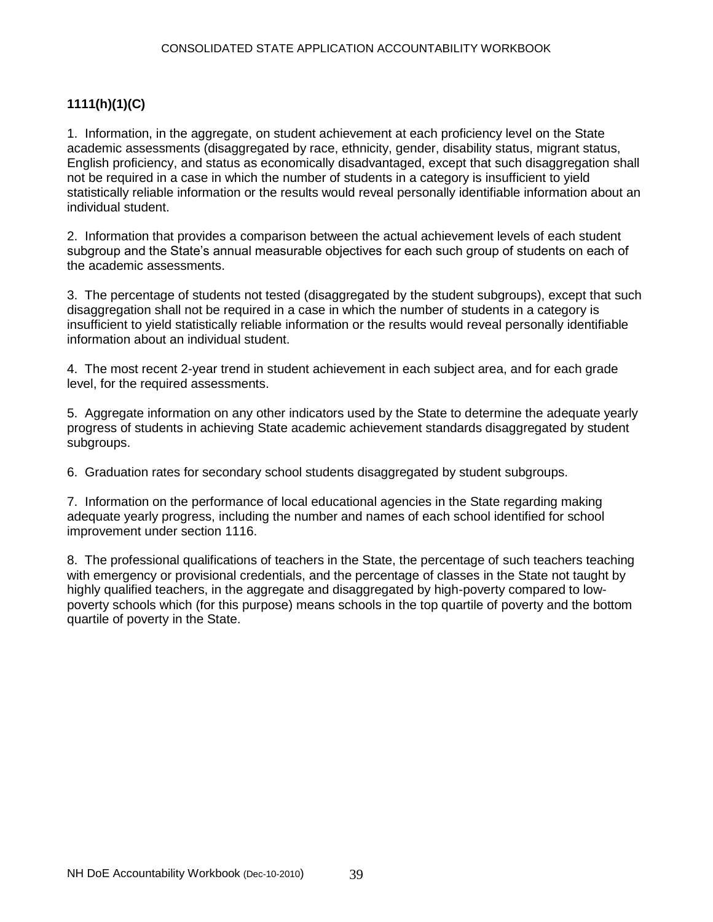## **1111(h)(1)(C)**

1. Information, in the aggregate, on student achievement at each proficiency level on the State academic assessments (disaggregated by race, ethnicity, gender, disability status, migrant status, English proficiency, and status as economically disadvantaged, except that such disaggregation shall not be required in a case in which the number of students in a category is insufficient to yield statistically reliable information or the results would reveal personally identifiable information about an individual student.

2. Information that provides a comparison between the actual achievement levels of each student subgroup and the State's annual measurable objectives for each such group of students on each of the academic assessments.

3. The percentage of students not tested (disaggregated by the student subgroups), except that such disaggregation shall not be required in a case in which the number of students in a category is insufficient to yield statistically reliable information or the results would reveal personally identifiable information about an individual student.

4. The most recent 2-year trend in student achievement in each subject area, and for each grade level, for the required assessments.

5. Aggregate information on any other indicators used by the State to determine the adequate yearly progress of students in achieving State academic achievement standards disaggregated by student subgroups.

6. Graduation rates for secondary school students disaggregated by student subgroups.

7. Information on the performance of local educational agencies in the State regarding making adequate yearly progress, including the number and names of each school identified for school improvement under section 1116.

8. The professional qualifications of teachers in the State, the percentage of such teachers teaching with emergency or provisional credentials, and the percentage of classes in the State not taught by highly qualified teachers, in the aggregate and disaggregated by high-poverty compared to lowpoverty schools which (for this purpose) means schools in the top quartile of poverty and the bottom quartile of poverty in the State.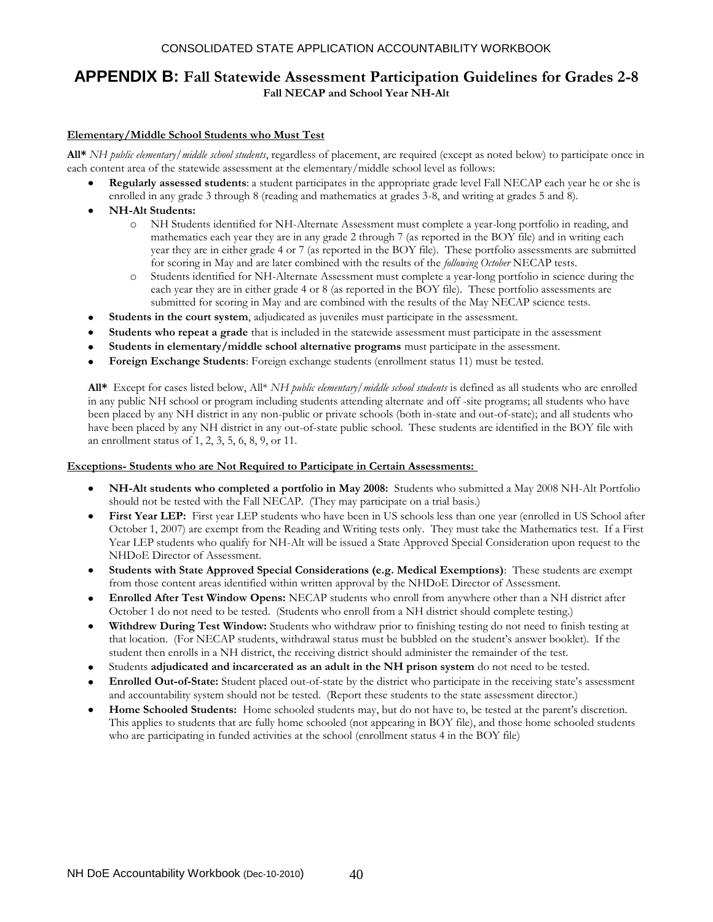#### CONSOLIDATED STATE APPLICATION ACCOUNTABILITY WORKBOOK

## **APPENDIX B: Fall Statewide Assessment Participation Guidelines for Grades 2-8 Fall NECAP and School Year NH-Alt**

#### **Elementary/Middle School Students who Must Test**

**All\*** *NH public elementary/middle school students*, regardless of placement, are required (except as noted below) to participate once in each content area of the statewide assessment at the elementary/middle school level as follows:

- **Regularly assessed students**: a student participates in the appropriate grade level Fall NECAP each year he or she is enrolled in any grade 3 through 8 (reading and mathematics at grades 3-8, and writing at grades 5 and 8).
- **NH-Alt Students:**
	- o NH Students identified for NH-Alternate Assessment must complete a year-long portfolio in reading, and mathematics each year they are in any grade 2 through 7 (as reported in the BOY file) and in writing each year they are in either grade 4 or 7 (as reported in the BOY file). These portfolio assessments are submitted for scoring in May and are later combined with the results of the *following October* NECAP tests.
	- o Students identified for NH-Alternate Assessment must complete a year-long portfolio in science during the each year they are in either grade 4 or 8 (as reported in the BOY file). These portfolio assessments are submitted for scoring in May and are combined with the results of the May NECAP science tests.
- **Students in the court system**, adjudicated as juveniles must participate in the assessment.  $\bullet$
- **Students who repeat a grade** that is included in the statewide assessment must participate in the assessment
- **Students in elementary/middle school alternative programs** must participate in the assessment.
- **Foreign Exchange Students**: Foreign exchange students (enrollment status 11) must be tested.

**All\*** Except for cases listed below, All\* *NH public elementary/middle school students* is defined as all students who are enrolled in any public NH school or program including students attending alternate and off -site programs; all students who have been placed by any NH district in any non-public or private schools (both in-state and out-of-state); and all students who have been placed by any NH district in any out-of-state public school. These students are identified in the BOY file with an enrollment status of 1, 2, 3, 5, 6, 8, 9, or 11.

#### **Exceptions- Students who are Not Required to Participate in Certain Assessments:**

- **NH-Alt students who completed a portfolio in May 2008:** Students who submitted a May 2008 NH-Alt Portfolio  $\bullet$ should not be tested with the Fall NECAP. (They may participate on a trial basis.)
- First Year LEP: First year LEP students who have been in US schools less than one year (enrolled in US School after  $\bullet$ October 1, 2007) are exempt from the Reading and Writing tests only. They must take the Mathematics test. If a First Year LEP students who qualify for NH-Alt will be issued a State Approved Special Consideration upon request to the NHDoE Director of Assessment.
- $\bullet$ **Students with State Approved Special Considerations (e.g. Medical Exemptions)**: These students are exempt from those content areas identified within written approval by the NHDoE Director of Assessment.
- **Enrolled After Test Window Opens:** NECAP students who enroll from anywhere other than a NH district after  $\bullet$ October 1 do not need to be tested. (Students who enroll from a NH district should complete testing.)
- **Withdrew During Test Window:** Students who withdraw prior to finishing testing do not need to finish testing at  $\bullet$ that location. (For NECAP students, withdrawal status must be bubbled on the student's answer booklet). If the student then enrolls in a NH district, the receiving district should administer the remainder of the test.
- Students **adjudicated and incarcerated as an adult in the NH prison system** do not need to be tested.
- **Enrolled Out-of-State:** Student placed out-of-state by the district who participate in the receiving state's assessment and accountability system should not be tested. (Report these students to the state assessment director.)
- **Home Schooled Students:** Home schooled students may, but do not have to, be tested at the parent's discretion. This applies to students that are fully home schooled (not appearing in BOY file), and those home schooled students who are participating in funded activities at the school (enrollment status 4 in the BOY file)